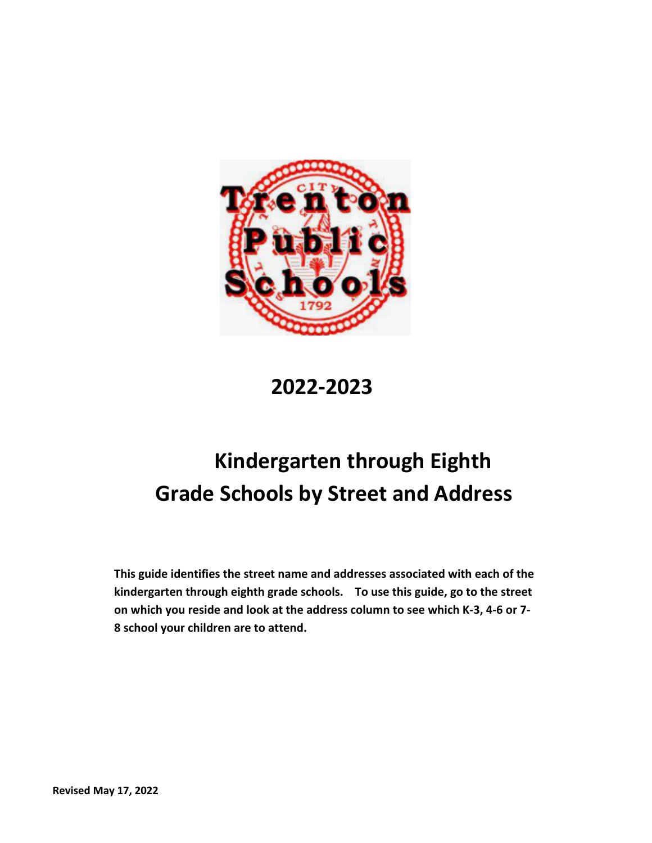

**2022-2023**

## **Kindergarten through Eighth Grade Schools by Street and Address**

**This guide identifies the street name and addresses associated with each of the kindergarten through eighth grade schools. To use this guide, go to the street on which you reside and look at the address column to see which K-3, 4-6 or 7- 8 school your children are to attend.**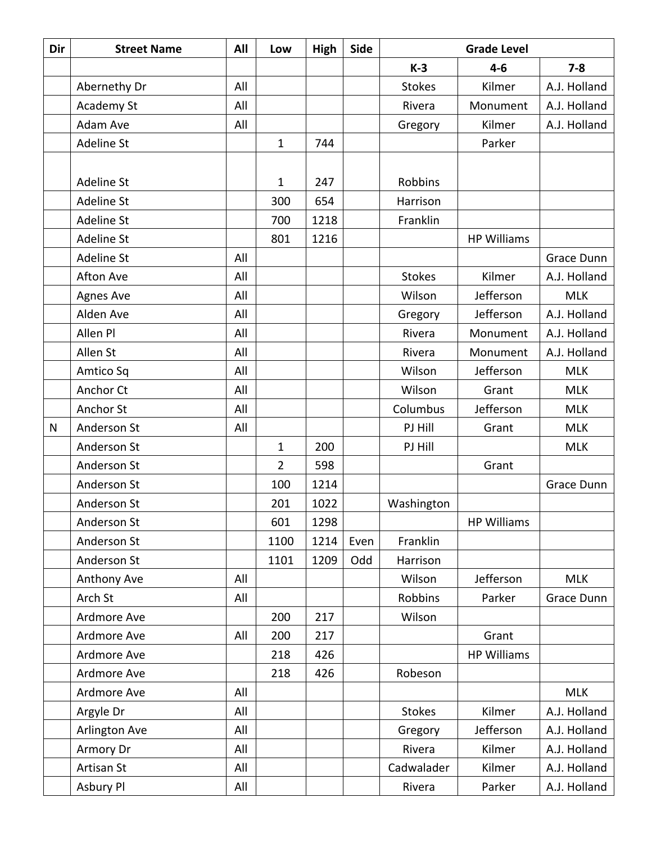| Dir          | <b>Street Name</b> | All | Low            | High | Side |                | <b>Grade Level</b> |              |
|--------------|--------------------|-----|----------------|------|------|----------------|--------------------|--------------|
|              |                    |     |                |      |      | $K-3$          | $4-6$              | $7 - 8$      |
|              | Abernethy Dr       | All |                |      |      | <b>Stokes</b>  | Kilmer             | A.J. Holland |
|              | Academy St         | All |                |      |      | Rivera         | Monument           | A.J. Holland |
|              | Adam Ave           | All |                |      |      | Gregory        | Kilmer             | A.J. Holland |
|              | Adeline St         |     | $\mathbf{1}$   | 744  |      |                | Parker             |              |
|              |                    |     |                |      |      |                |                    |              |
|              | Adeline St         |     | 1              | 247  |      | <b>Robbins</b> |                    |              |
|              | Adeline St         |     | 300            | 654  |      | Harrison       |                    |              |
|              | <b>Adeline St</b>  |     | 700            | 1218 |      | Franklin       |                    |              |
|              | Adeline St         |     | 801            | 1216 |      |                | <b>HP Williams</b> |              |
|              | <b>Adeline St</b>  | All |                |      |      |                |                    | Grace Dunn   |
|              | Afton Ave          | All |                |      |      | <b>Stokes</b>  | Kilmer             | A.J. Holland |
|              | <b>Agnes Ave</b>   | All |                |      |      | Wilson         | Jefferson          | <b>MLK</b>   |
|              | Alden Ave          | All |                |      |      | Gregory        | Jefferson          | A.J. Holland |
|              | Allen Pl           | All |                |      |      | Rivera         | Monument           | A.J. Holland |
|              | Allen St           | All |                |      |      | Rivera         | Monument           | A.J. Holland |
|              | Amtico Sq          | All |                |      |      | Wilson         | Jefferson          | <b>MLK</b>   |
|              | Anchor Ct          | All |                |      |      | Wilson         | Grant              | <b>MLK</b>   |
|              | Anchor St          | All |                |      |      | Columbus       | Jefferson          | <b>MLK</b>   |
| $\mathsf{N}$ | Anderson St        | All |                |      |      | PJ Hill        | Grant              | <b>MLK</b>   |
|              | Anderson St        |     | $\mathbf{1}$   | 200  |      | PJ Hill        |                    | <b>MLK</b>   |
|              | Anderson St        |     | $\overline{2}$ | 598  |      |                | Grant              |              |
|              | Anderson St        |     | 100            | 1214 |      |                |                    | Grace Dunn   |
|              | Anderson St        |     | 201            | 1022 |      | Washington     |                    |              |
|              | Anderson St        |     | 601            | 1298 |      |                | <b>HP Williams</b> |              |
|              | Anderson St        |     | 1100           | 1214 | Even | Franklin       |                    |              |
|              | Anderson St        |     | 1101           | 1209 | Odd  | Harrison       |                    |              |
|              | Anthony Ave        | All |                |      |      | Wilson         | Jefferson          | <b>MLK</b>   |
|              | Arch St            | All |                |      |      | Robbins        | Parker             | Grace Dunn   |
|              | Ardmore Ave        |     | 200            | 217  |      | Wilson         |                    |              |
|              | Ardmore Ave        | All | 200            | 217  |      |                | Grant              |              |
|              | Ardmore Ave        |     | 218            | 426  |      |                | <b>HP Williams</b> |              |
|              | Ardmore Ave        |     | 218            | 426  |      | Robeson        |                    |              |
|              | Ardmore Ave        | All |                |      |      |                |                    | <b>MLK</b>   |
|              | Argyle Dr          | All |                |      |      | <b>Stokes</b>  | Kilmer             | A.J. Holland |
|              | Arlington Ave      | All |                |      |      | Gregory        | Jefferson          | A.J. Holland |
|              | Armory Dr          | All |                |      |      | Rivera         | Kilmer             | A.J. Holland |
|              | Artisan St         | All |                |      |      | Cadwalader     | Kilmer             | A.J. Holland |
|              | Asbury Pl          | All |                |      |      | Rivera         | Parker             | A.J. Holland |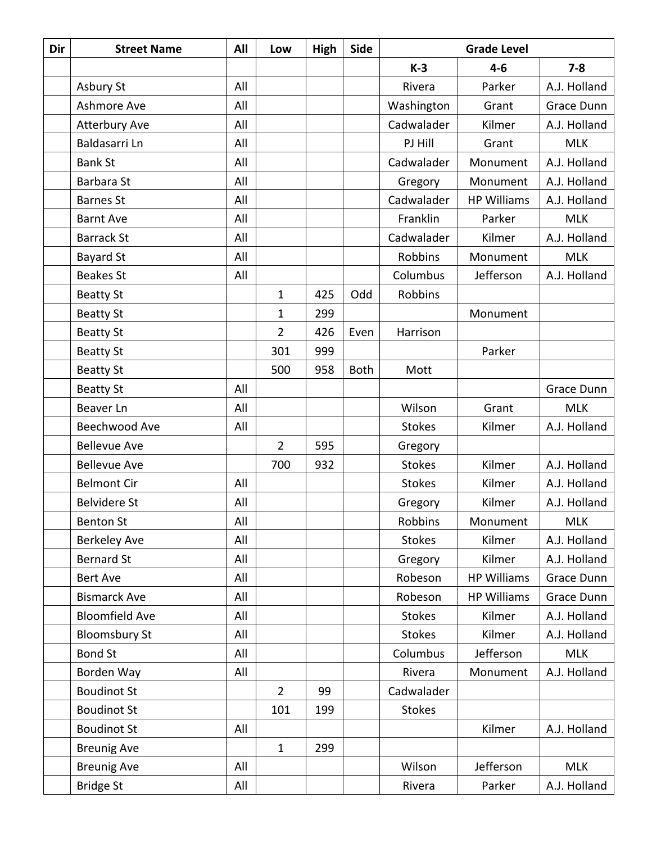| Dir | <b>Street Name</b>    | All | Low            | High | Side        | <b>Grade Level</b> |                    |              |
|-----|-----------------------|-----|----------------|------|-------------|--------------------|--------------------|--------------|
|     |                       |     |                |      |             | $K-3$              | $4 - 6$            | $7 - 8$      |
|     | Asbury St             | All |                |      |             | Rivera             | Parker             | A.J. Holland |
|     | Ashmore Ave           | All |                |      |             | Washington         | Grant              | Grace Dunn   |
|     | <b>Atterbury Ave</b>  | All |                |      |             | Cadwalader         | Kilmer             | A.J. Holland |
|     | Baldasarri Ln         | All |                |      |             | PJ Hill            | Grant              | <b>MLK</b>   |
|     | <b>Bank St</b>        | All |                |      |             | Cadwalader         | Monument           | A.J. Holland |
|     | <b>Barbara St</b>     | All |                |      |             | Gregory            | Monument           | A.J. Holland |
|     | <b>Barnes St</b>      | All |                |      |             | Cadwalader         | <b>HP Williams</b> | A.J. Holland |
|     | <b>Barnt Ave</b>      | All |                |      |             | Franklin           | Parker             | <b>MLK</b>   |
|     | <b>Barrack St</b>     | All |                |      |             | Cadwalader         | Kilmer             | A.J. Holland |
|     | <b>Bayard St</b>      | All |                |      |             | Robbins            | Monument           | <b>MLK</b>   |
|     | <b>Beakes St</b>      | All |                |      |             | Columbus           | Jefferson          | A.J. Holland |
|     | <b>Beatty St</b>      |     | 1              | 425  | Odd         | Robbins            |                    |              |
|     | <b>Beatty St</b>      |     | 1              | 299  |             |                    | Monument           |              |
|     | <b>Beatty St</b>      |     | $\overline{2}$ | 426  | Even        | Harrison           |                    |              |
|     | <b>Beatty St</b>      |     | 301            | 999  |             |                    | Parker             |              |
|     | <b>Beatty St</b>      |     | 500            | 958  | <b>Both</b> | Mott               |                    |              |
|     | <b>Beatty St</b>      | All |                |      |             |                    |                    | Grace Dunn   |
|     | Beaver Ln             | All |                |      |             | Wilson             | Grant              | <b>MLK</b>   |
|     | Beechwood Ave         | All |                |      |             | <b>Stokes</b>      | Kilmer             | A.J. Holland |
|     | <b>Bellevue Ave</b>   |     | $\overline{2}$ | 595  |             | Gregory            |                    |              |
|     | <b>Bellevue Ave</b>   |     | 700            | 932  |             | <b>Stokes</b>      | Kilmer             | A.J. Holland |
|     | <b>Belmont Cir</b>    | All |                |      |             | <b>Stokes</b>      | Kilmer             | A.J. Holland |
|     | <b>Belvidere St</b>   | All |                |      |             | Gregory            | Kilmer             | A.J. Holland |
|     | <b>Benton St</b>      | All |                |      |             | Robbins            | Monument           | <b>MLK</b>   |
|     | <b>Berkeley Ave</b>   | All |                |      |             | <b>Stokes</b>      | Kilmer             | A.J. Holland |
|     | <b>Bernard St</b>     | All |                |      |             | Gregory            | Kilmer             | A.J. Holland |
|     | <b>Bert Ave</b>       | All |                |      |             | Robeson            | <b>HP Williams</b> | Grace Dunn   |
|     | <b>Bismarck Ave</b>   | All |                |      |             | Robeson            | <b>HP Williams</b> | Grace Dunn   |
|     | <b>Bloomfield Ave</b> | All |                |      |             | <b>Stokes</b>      | Kilmer             | A.J. Holland |
|     | <b>Bloomsbury St</b>  | All |                |      |             | <b>Stokes</b>      | Kilmer             | A.J. Holland |
|     | <b>Bond St</b>        | All |                |      |             | Columbus           | Jefferson          | <b>MLK</b>   |
|     | Borden Way            | All |                |      |             | Rivera             | Monument           | A.J. Holland |
|     | <b>Boudinot St</b>    |     | $\overline{2}$ | 99   |             | Cadwalader         |                    |              |
|     | <b>Boudinot St</b>    |     | 101            | 199  |             | <b>Stokes</b>      |                    |              |
|     | <b>Boudinot St</b>    | All |                |      |             |                    | Kilmer             | A.J. Holland |
|     | <b>Breunig Ave</b>    |     | $\mathbf{1}$   | 299  |             |                    |                    |              |
|     | <b>Breunig Ave</b>    | All |                |      |             | Wilson             | Jefferson          | <b>MLK</b>   |
|     | <b>Bridge St</b>      | All |                |      |             | Rivera             | Parker             | A.J. Holland |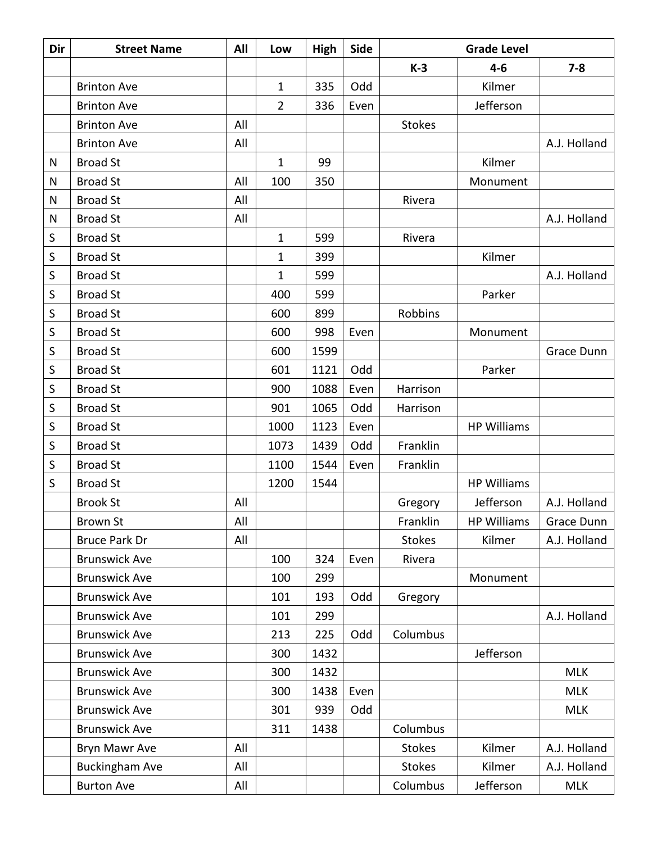| Dir         | <b>Street Name</b>    | All | Low            | High | <b>Side</b> | <b>Grade Level</b><br>$K-3$<br>$4 - 6$<br>$7 - 8$ |                    |              |
|-------------|-----------------------|-----|----------------|------|-------------|---------------------------------------------------|--------------------|--------------|
|             |                       |     |                |      |             |                                                   |                    |              |
|             | <b>Brinton Ave</b>    |     | $\mathbf{1}$   | 335  | Odd         |                                                   | Kilmer             |              |
|             | <b>Brinton Ave</b>    |     | $\overline{2}$ | 336  | Even        |                                                   | Jefferson          |              |
|             | <b>Brinton Ave</b>    | All |                |      |             | <b>Stokes</b>                                     |                    |              |
|             | <b>Brinton Ave</b>    | All |                |      |             |                                                   |                    | A.J. Holland |
| N           | <b>Broad St</b>       |     | $\mathbf{1}$   | 99   |             |                                                   | Kilmer             |              |
| N           | <b>Broad St</b>       | All | 100            | 350  |             |                                                   | Monument           |              |
| N           | <b>Broad St</b>       | All |                |      |             | Rivera                                            |                    |              |
| N           | <b>Broad St</b>       | All |                |      |             |                                                   |                    | A.J. Holland |
| S           | <b>Broad St</b>       |     | $\mathbf{1}$   | 599  |             | Rivera                                            |                    |              |
| $\sf S$     | <b>Broad St</b>       |     | $\mathbf 1$    | 399  |             |                                                   | Kilmer             |              |
| $\sf S$     | <b>Broad St</b>       |     | 1              | 599  |             |                                                   |                    | A.J. Holland |
| $\sf S$     | <b>Broad St</b>       |     | 400            | 599  |             |                                                   | Parker             |              |
| S           | <b>Broad St</b>       |     | 600            | 899  |             | Robbins                                           |                    |              |
| $\sf S$     | <b>Broad St</b>       |     | 600            | 998  | Even        |                                                   | Monument           |              |
| S           | <b>Broad St</b>       |     | 600            | 1599 |             |                                                   |                    | Grace Dunn   |
| $\sf S$     | <b>Broad St</b>       |     | 601            | 1121 | Odd         |                                                   | Parker             |              |
| S           | <b>Broad St</b>       |     | 900            | 1088 | Even        | Harrison                                          |                    |              |
| $\mathsf S$ | <b>Broad St</b>       |     | 901            | 1065 | Odd         | Harrison                                          |                    |              |
| S           | <b>Broad St</b>       |     | 1000           | 1123 | Even        |                                                   | <b>HP Williams</b> |              |
| $\sf S$     | <b>Broad St</b>       |     | 1073           | 1439 | Odd         | Franklin                                          |                    |              |
| $\sf S$     | <b>Broad St</b>       |     | 1100           | 1544 | Even        | Franklin                                          |                    |              |
| S           | <b>Broad St</b>       |     | 1200           | 1544 |             |                                                   | <b>HP Williams</b> |              |
|             | <b>Brook St</b>       | All |                |      |             | Gregory                                           | Jefferson          | A.J. Holland |
|             | <b>Brown St</b>       | All |                |      |             | Franklin                                          | <b>HP Williams</b> | Grace Dunn   |
|             | <b>Bruce Park Dr</b>  | All |                |      |             | <b>Stokes</b>                                     | Kilmer             | A.J. Holland |
|             | <b>Brunswick Ave</b>  |     | 100            | 324  | Even        | Rivera                                            |                    |              |
|             | <b>Brunswick Ave</b>  |     | 100            | 299  |             |                                                   | Monument           |              |
|             | <b>Brunswick Ave</b>  |     | 101            | 193  | Odd         | Gregory                                           |                    |              |
|             | <b>Brunswick Ave</b>  |     | 101            | 299  |             |                                                   |                    | A.J. Holland |
|             | <b>Brunswick Ave</b>  |     | 213            | 225  | Odd         | Columbus                                          |                    |              |
|             | <b>Brunswick Ave</b>  |     | 300            | 1432 |             |                                                   | Jefferson          |              |
|             | <b>Brunswick Ave</b>  |     | 300            | 1432 |             |                                                   |                    | <b>MLK</b>   |
|             | <b>Brunswick Ave</b>  |     | 300            | 1438 | Even        |                                                   |                    | <b>MLK</b>   |
|             | <b>Brunswick Ave</b>  |     | 301            | 939  | Odd         |                                                   |                    | <b>MLK</b>   |
|             | <b>Brunswick Ave</b>  |     | 311            | 1438 |             | Columbus                                          |                    |              |
|             | Bryn Mawr Ave         | All |                |      |             | <b>Stokes</b>                                     | Kilmer             | A.J. Holland |
|             | <b>Buckingham Ave</b> | All |                |      |             | <b>Stokes</b>                                     | Kilmer             | A.J. Holland |
|             | <b>Burton Ave</b>     | All |                |      |             | Columbus                                          | Jefferson          | <b>MLK</b>   |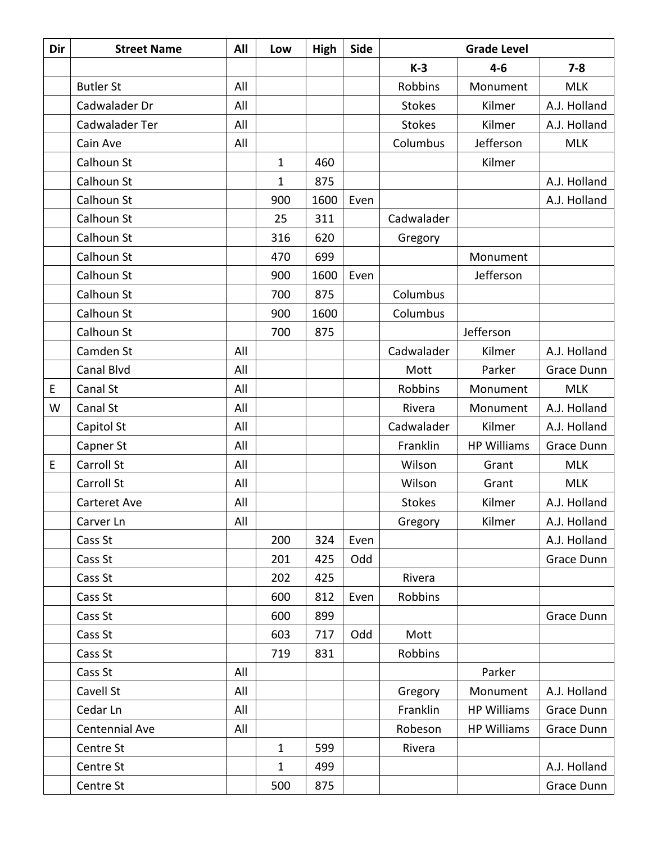| Dir | <b>Street Name</b> | All | Low          | High | Side | <b>Grade Level</b> |                    |              |
|-----|--------------------|-----|--------------|------|------|--------------------|--------------------|--------------|
|     |                    |     |              |      |      | $K-3$              | $4 - 6$            | $7 - 8$      |
|     | <b>Butler St</b>   | All |              |      |      | Robbins            | Monument           | <b>MLK</b>   |
|     | Cadwalader Dr      | All |              |      |      | <b>Stokes</b>      | Kilmer             | A.J. Holland |
|     | Cadwalader Ter     | All |              |      |      | <b>Stokes</b>      | Kilmer             | A.J. Holland |
|     | Cain Ave           | All |              |      |      | Columbus           | Jefferson          | <b>MLK</b>   |
|     | Calhoun St         |     | $\mathbf{1}$ | 460  |      |                    | Kilmer             |              |
|     | Calhoun St         |     | 1            | 875  |      |                    |                    | A.J. Holland |
|     | Calhoun St         |     | 900          | 1600 | Even |                    |                    | A.J. Holland |
|     | Calhoun St         |     | 25           | 311  |      | Cadwalader         |                    |              |
|     | Calhoun St         |     | 316          | 620  |      | Gregory            |                    |              |
|     | Calhoun St         |     | 470          | 699  |      |                    | Monument           |              |
|     | Calhoun St         |     | 900          | 1600 | Even |                    | Jefferson          |              |
|     | Calhoun St         |     | 700          | 875  |      | Columbus           |                    |              |
|     | Calhoun St         |     | 900          | 1600 |      | Columbus           |                    |              |
|     | Calhoun St         |     | 700          | 875  |      |                    | Jefferson          |              |
|     | Camden St          | All |              |      |      | Cadwalader         | Kilmer             | A.J. Holland |
|     | Canal Blvd         | All |              |      |      | Mott               | Parker             | Grace Dunn   |
| E   | Canal St           | All |              |      |      | Robbins            | Monument           | <b>MLK</b>   |
| W   | Canal St           | All |              |      |      | Rivera             | Monument           | A.J. Holland |
|     | Capitol St         | All |              |      |      | Cadwalader         | Kilmer             | A.J. Holland |
|     | Capner St          | All |              |      |      | Franklin           | <b>HP Williams</b> | Grace Dunn   |
| E   | Carroll St         | All |              |      |      | Wilson             | Grant              | <b>MLK</b>   |
|     | Carroll St         | All |              |      |      | Wilson             | Grant              | <b>MLK</b>   |
|     | Carteret Ave       | All |              |      |      | <b>Stokes</b>      | Kilmer             | A.J. Holland |
|     | Carver Ln          | All |              |      |      | Gregory            | Kilmer             | A.J. Holland |
|     | Cass St            |     | 200          | 324  | Even |                    |                    | A.J. Holland |
|     | Cass St            |     | 201          | 425  | Odd  |                    |                    | Grace Dunn   |
|     | Cass St            |     | 202          | 425  |      | Rivera             |                    |              |
|     | Cass St            |     | 600          | 812  | Even | Robbins            |                    |              |
|     | Cass St            |     | 600          | 899  |      |                    |                    | Grace Dunn   |
|     | Cass St            |     | 603          | 717  | Odd  | Mott               |                    |              |
|     | Cass St            |     | 719          | 831  |      | Robbins            |                    |              |
|     | Cass St            | All |              |      |      |                    | Parker             |              |
|     | Cavell St          | All |              |      |      | Gregory            | Monument           | A.J. Holland |
|     | Cedar Ln           | All |              |      |      | Franklin           | <b>HP Williams</b> | Grace Dunn   |
|     | Centennial Ave     | All |              |      |      | Robeson            | <b>HP Williams</b> | Grace Dunn   |
|     | Centre St          |     | $\mathbf{1}$ | 599  |      | Rivera             |                    |              |
|     | Centre St          |     | $\mathbf{1}$ | 499  |      |                    |                    | A.J. Holland |
|     | Centre St          |     | 500          | 875  |      |                    |                    | Grace Dunn   |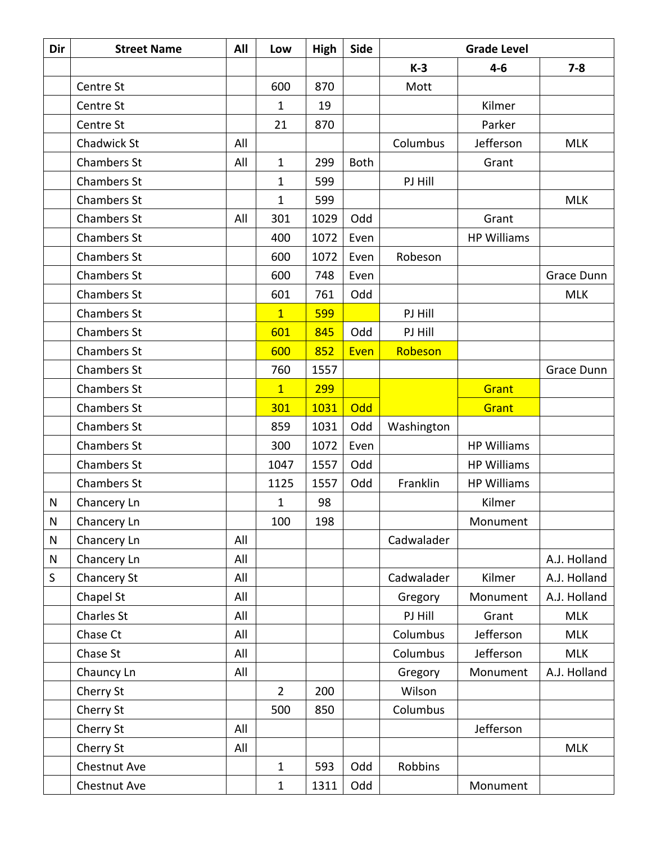| Dir       | <b>Street Name</b> | All | Low            | High | Side        |            | <b>Grade Level</b> |              |
|-----------|--------------------|-----|----------------|------|-------------|------------|--------------------|--------------|
|           |                    |     |                |      |             | $K-3$      | $4 - 6$            | $7 - 8$      |
|           | Centre St          |     | 600            | 870  |             | Mott       |                    |              |
|           | Centre St          |     | 1              | 19   |             |            | Kilmer             |              |
|           | Centre St          |     | 21             | 870  |             |            | Parker             |              |
|           | Chadwick St        | All |                |      |             | Columbus   | Jefferson          | <b>MLK</b>   |
|           | <b>Chambers St</b> | All | $\mathbf{1}$   | 299  | <b>Both</b> |            | Grant              |              |
|           | <b>Chambers St</b> |     | $\mathbf{1}$   | 599  |             | PJ Hill    |                    |              |
|           | <b>Chambers St</b> |     | $\mathbf{1}$   | 599  |             |            |                    | <b>MLK</b>   |
|           | <b>Chambers St</b> | All | 301            | 1029 | Odd         |            | Grant              |              |
|           | <b>Chambers St</b> |     | 400            | 1072 | Even        |            | <b>HP Williams</b> |              |
|           | <b>Chambers St</b> |     | 600            | 1072 | Even        | Robeson    |                    |              |
|           | <b>Chambers St</b> |     | 600            | 748  | Even        |            |                    | Grace Dunn   |
|           | <b>Chambers St</b> |     | 601            | 761  | Odd         |            |                    | <b>MLK</b>   |
|           | <b>Chambers St</b> |     | $\overline{1}$ | 599  |             | PJ Hill    |                    |              |
|           | <b>Chambers St</b> |     | 601            | 845  | Odd         | PJ Hill    |                    |              |
|           | <b>Chambers St</b> |     | 600            | 852  | Even        | Robeson    |                    |              |
|           | <b>Chambers St</b> |     | 760            | 1557 |             |            |                    | Grace Dunn   |
|           | <b>Chambers St</b> |     | $\overline{1}$ | 299  |             |            | Grant              |              |
|           | <b>Chambers St</b> |     | 301            | 1031 | Odd         |            | Grant              |              |
|           | <b>Chambers St</b> |     | 859            | 1031 | Odd         | Washington |                    |              |
|           | <b>Chambers St</b> |     | 300            | 1072 | Even        |            | <b>HP Williams</b> |              |
|           | Chambers St        |     | 1047           | 1557 | Odd         |            | <b>HP Williams</b> |              |
|           | Chambers St        |     | 1125           | 1557 | Odd         | Franklin   | <b>HP Williams</b> |              |
| N         | Chancery Ln        |     | 1              | 98   |             |            | Kilmer             |              |
| ${\sf N}$ | Chancery Ln        |     | 100            | 198  |             |            | Monument           |              |
| N         | Chancery Ln        | All |                |      |             | Cadwalader |                    |              |
| N         | Chancery Ln        | All |                |      |             |            |                    | A.J. Holland |
| S         | Chancery St        | All |                |      |             | Cadwalader | Kilmer             | A.J. Holland |
|           | Chapel St          | All |                |      |             | Gregory    | Monument           | A.J. Holland |
|           | Charles St         | All |                |      |             | PJ Hill    | Grant              | <b>MLK</b>   |
|           | Chase Ct           | All |                |      |             | Columbus   | Jefferson          | <b>MLK</b>   |
|           | Chase St           | All |                |      |             | Columbus   | Jefferson          | <b>MLK</b>   |
|           | Chauncy Ln         | All |                |      |             | Gregory    | Monument           | A.J. Holland |
|           | Cherry St          |     | $\overline{2}$ | 200  |             | Wilson     |                    |              |
|           | Cherry St          |     | 500            | 850  |             | Columbus   |                    |              |
|           | Cherry St          | All |                |      |             |            | Jefferson          |              |
|           | Cherry St          | All |                |      |             |            |                    | <b>MLK</b>   |
|           | Chestnut Ave       |     | $\mathbf 1$    | 593  | Odd         | Robbins    |                    |              |
|           | Chestnut Ave       |     | $\mathbf 1$    | 1311 | Odd         |            | Monument           |              |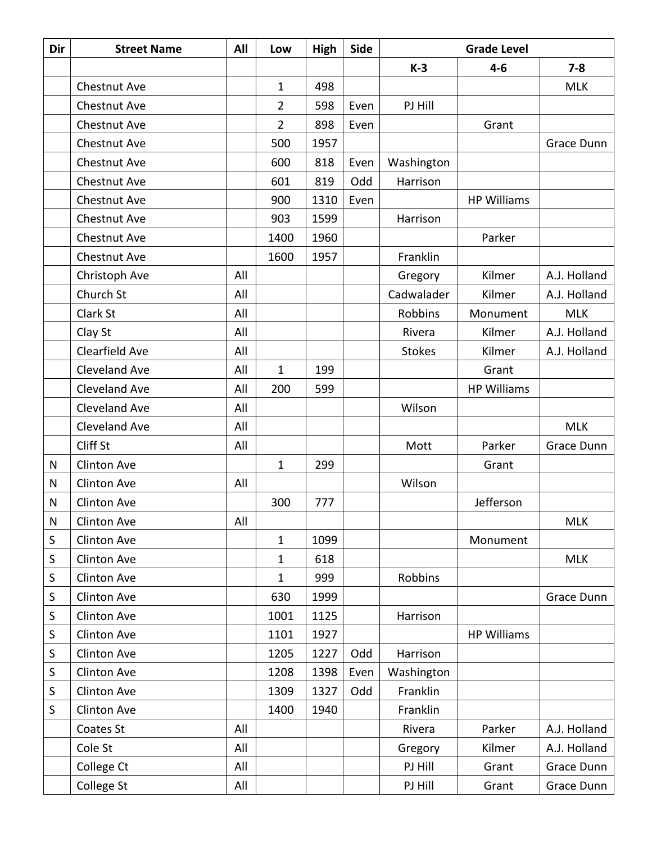| Dir       | <b>Street Name</b>   | All | Low            | High | Side | <b>Grade Level</b> |                    |              |
|-----------|----------------------|-----|----------------|------|------|--------------------|--------------------|--------------|
|           |                      |     |                |      |      | $K-3$              | $4 - 6$            | $7 - 8$      |
|           | Chestnut Ave         |     | $\mathbf{1}$   | 498  |      |                    |                    | <b>MLK</b>   |
|           | Chestnut Ave         |     | $\overline{2}$ | 598  | Even | PJ Hill            |                    |              |
|           | Chestnut Ave         |     | $\overline{2}$ | 898  | Even |                    | Grant              |              |
|           | Chestnut Ave         |     | 500            | 1957 |      |                    |                    | Grace Dunn   |
|           | Chestnut Ave         |     | 600            | 818  | Even | Washington         |                    |              |
|           | Chestnut Ave         |     | 601            | 819  | Odd  | Harrison           |                    |              |
|           | Chestnut Ave         |     | 900            | 1310 | Even |                    | <b>HP Williams</b> |              |
|           | Chestnut Ave         |     | 903            | 1599 |      | Harrison           |                    |              |
|           | Chestnut Ave         |     | 1400           | 1960 |      |                    | Parker             |              |
|           | Chestnut Ave         |     | 1600           | 1957 |      | Franklin           |                    |              |
|           | Christoph Ave        | All |                |      |      | Gregory            | Kilmer             | A.J. Holland |
|           | Church St            | All |                |      |      | Cadwalader         | Kilmer             | A.J. Holland |
|           | Clark St             | All |                |      |      | Robbins            | Monument           | <b>MLK</b>   |
|           | Clay St              | All |                |      |      | Rivera             | Kilmer             | A.J. Holland |
|           | Clearfield Ave       | All |                |      |      | <b>Stokes</b>      | Kilmer             | A.J. Holland |
|           | <b>Cleveland Ave</b> | All | $\mathbf{1}$   | 199  |      |                    | Grant              |              |
|           | Cleveland Ave        | All | 200            | 599  |      |                    | <b>HP Williams</b> |              |
|           | <b>Cleveland Ave</b> | All |                |      |      | Wilson             |                    |              |
|           | <b>Cleveland Ave</b> | All |                |      |      |                    |                    | <b>MLK</b>   |
|           | Cliff St             | All |                |      |      | Mott               | Parker             | Grace Dunn   |
| N         | <b>Clinton Ave</b>   |     | $\mathbf{1}$   | 299  |      |                    | Grant              |              |
| N         | Clinton Ave          | All |                |      |      | Wilson             |                    |              |
| ${\sf N}$ | <b>Clinton Ave</b>   |     | 300            | 777  |      |                    | Jefferson          |              |
| N         | Clinton Ave          | All |                |      |      |                    |                    | <b>MLK</b>   |
| S         | <b>Clinton Ave</b>   |     | $\mathbf{1}$   | 1099 |      |                    | Monument           |              |
| S         | Clinton Ave          |     | $\mathbf{1}$   | 618  |      |                    |                    | <b>MLK</b>   |
| S         | Clinton Ave          |     | 1              | 999  |      | Robbins            |                    |              |
| S         | Clinton Ave          |     | 630            | 1999 |      |                    |                    | Grace Dunn   |
| S         | Clinton Ave          |     | 1001           | 1125 |      | Harrison           |                    |              |
| S         | Clinton Ave          |     | 1101           | 1927 |      |                    | <b>HP Williams</b> |              |
| S         | Clinton Ave          |     | 1205           | 1227 | Odd  | Harrison           |                    |              |
| $\sf S$   | Clinton Ave          |     | 1208           | 1398 | Even | Washington         |                    |              |
| S         | Clinton Ave          |     | 1309           | 1327 | Odd  | Franklin           |                    |              |
| S         | Clinton Ave          |     | 1400           | 1940 |      | Franklin           |                    |              |
|           | Coates St            | All |                |      |      | Rivera             | Parker             | A.J. Holland |
|           | Cole St              | All |                |      |      | Gregory            | Kilmer             | A.J. Holland |
|           | College Ct           | All |                |      |      | PJ Hill            | Grant              | Grace Dunn   |
|           | College St           | All |                |      |      | PJ Hill            | Grant              | Grace Dunn   |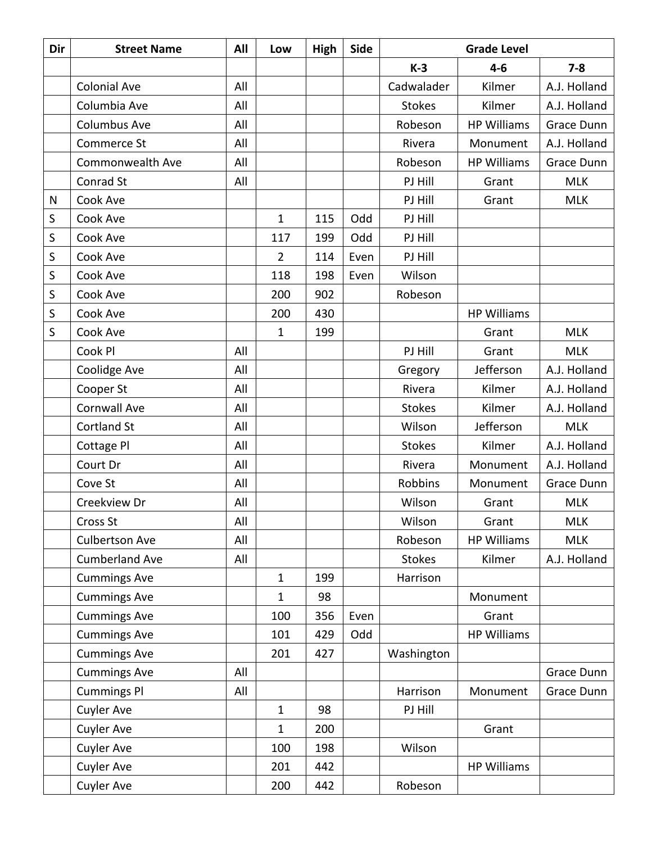| Dir | <b>Street Name</b>    | All | Low            | <b>High</b> | <b>Side</b> | <b>Grade Level</b> |                    |              |
|-----|-----------------------|-----|----------------|-------------|-------------|--------------------|--------------------|--------------|
|     |                       |     |                |             |             | $K-3$              | $4 - 6$            | $7 - 8$      |
|     | <b>Colonial Ave</b>   | All |                |             |             | Cadwalader         | Kilmer             | A.J. Holland |
|     | Columbia Ave          | All |                |             |             | <b>Stokes</b>      | Kilmer             | A.J. Holland |
|     | Columbus Ave          | All |                |             |             | Robeson            | <b>HP Williams</b> | Grace Dunn   |
|     | Commerce St           | All |                |             |             | Rivera             | Monument           | A.J. Holland |
|     | Commonwealth Ave      | All |                |             |             | Robeson            | <b>HP Williams</b> | Grace Dunn   |
|     | Conrad St             | All |                |             |             | PJ Hill            | Grant              | <b>MLK</b>   |
| N   | Cook Ave              |     |                |             |             | PJ Hill            | Grant              | <b>MLK</b>   |
| S   | Cook Ave              |     | $\mathbf{1}$   | 115         | Odd         | PJ Hill            |                    |              |
| S   | Cook Ave              |     | 117            | 199         | Odd         | PJ Hill            |                    |              |
| S   | Cook Ave              |     | $\overline{2}$ | 114         | Even        | PJ Hill            |                    |              |
| S   | Cook Ave              |     | 118            | 198         | Even        | Wilson             |                    |              |
| S   | Cook Ave              |     | 200            | 902         |             | Robeson            |                    |              |
| S   | Cook Ave              |     | 200            | 430         |             |                    | <b>HP Williams</b> |              |
| S   | Cook Ave              |     | $\mathbf{1}$   | 199         |             |                    | Grant              | <b>MLK</b>   |
|     | Cook Pl               | All |                |             |             | PJ Hill            | Grant              | <b>MLK</b>   |
|     | Coolidge Ave          | All |                |             |             | Gregory            | Jefferson          | A.J. Holland |
|     | Cooper St             | All |                |             |             | Rivera             | Kilmer             | A.J. Holland |
|     | <b>Cornwall Ave</b>   | All |                |             |             | <b>Stokes</b>      | Kilmer             | A.J. Holland |
|     | <b>Cortland St</b>    | All |                |             |             | Wilson             | Jefferson          | <b>MLK</b>   |
|     | Cottage Pl            | All |                |             |             | <b>Stokes</b>      | Kilmer             | A.J. Holland |
|     | Court Dr              | All |                |             |             | Rivera             | Monument           | A.J. Holland |
|     | Cove St               | All |                |             |             | Robbins            | Monument           | Grace Dunn   |
|     | Creekview Dr          | All |                |             |             | Wilson             | Grant              | <b>MLK</b>   |
|     | Cross St              | All |                |             |             | Wilson             | Grant              | <b>MLK</b>   |
|     | <b>Culbertson Ave</b> | All |                |             |             | Robeson            | <b>HP Williams</b> | <b>MLK</b>   |
|     | <b>Cumberland Ave</b> | All |                |             |             | <b>Stokes</b>      | Kilmer             | A.J. Holland |
|     | <b>Cummings Ave</b>   |     | $\mathbf{1}$   | 199         |             | Harrison           |                    |              |
|     | <b>Cummings Ave</b>   |     | $\mathbf{1}$   | 98          |             |                    | Monument           |              |
|     | <b>Cummings Ave</b>   |     | 100            | 356         | Even        |                    | Grant              |              |
|     | <b>Cummings Ave</b>   |     | 101            | 429         | Odd         |                    | <b>HP Williams</b> |              |
|     | <b>Cummings Ave</b>   |     | 201            | 427         |             | Washington         |                    |              |
|     | <b>Cummings Ave</b>   | All |                |             |             |                    |                    | Grace Dunn   |
|     | <b>Cummings Pl</b>    | All |                |             |             | Harrison           | Monument           | Grace Dunn   |
|     | <b>Cuyler Ave</b>     |     | $\mathbf{1}$   | 98          |             | PJ Hill            |                    |              |
|     | Cuyler Ave            |     | $\mathbf 1$    | 200         |             |                    | Grant              |              |
|     | <b>Cuyler Ave</b>     |     | 100            | 198         |             | Wilson             |                    |              |
|     | <b>Cuyler Ave</b>     |     | 201            | 442         |             |                    | <b>HP Williams</b> |              |
|     | <b>Cuyler Ave</b>     |     | 200            | 442         |             | Robeson            |                    |              |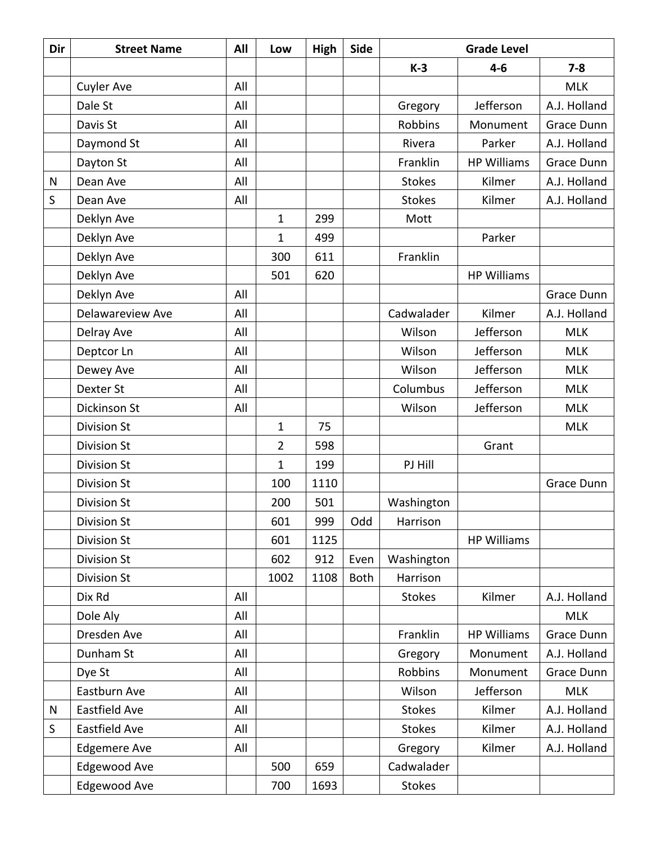| Dir | <b>Street Name</b>  | All | Low            | High | Side        | <b>Grade Level</b> |                    |              |
|-----|---------------------|-----|----------------|------|-------------|--------------------|--------------------|--------------|
|     |                     |     |                |      |             | $K-3$              | $4 - 6$            | $7 - 8$      |
|     | <b>Cuyler Ave</b>   | All |                |      |             |                    |                    | <b>MLK</b>   |
|     | Dale St             | All |                |      |             | Gregory            | Jefferson          | A.J. Holland |
|     | Davis St            | All |                |      |             | Robbins            | Monument           | Grace Dunn   |
|     | Daymond St          | All |                |      |             | Rivera             | Parker             | A.J. Holland |
|     | Dayton St           | All |                |      |             | Franklin           | <b>HP Williams</b> | Grace Dunn   |
| N   | Dean Ave            | All |                |      |             | <b>Stokes</b>      | Kilmer             | A.J. Holland |
| S   | Dean Ave            | All |                |      |             | <b>Stokes</b>      | Kilmer             | A.J. Holland |
|     | Deklyn Ave          |     | $\mathbf{1}$   | 299  |             | Mott               |                    |              |
|     | Deklyn Ave          |     | 1              | 499  |             |                    | Parker             |              |
|     | Deklyn Ave          |     | 300            | 611  |             | Franklin           |                    |              |
|     | Deklyn Ave          |     | 501            | 620  |             |                    | <b>HP Williams</b> |              |
|     | Deklyn Ave          | All |                |      |             |                    |                    | Grace Dunn   |
|     | Delawareview Ave    | All |                |      |             | Cadwalader         | Kilmer             | A.J. Holland |
|     | Delray Ave          | All |                |      |             | Wilson             | Jefferson          | <b>MLK</b>   |
|     | Deptcor Ln          | All |                |      |             | Wilson             | Jefferson          | <b>MLK</b>   |
|     | Dewey Ave           | All |                |      |             | Wilson             | Jefferson          | <b>MLK</b>   |
|     | <b>Dexter St</b>    | All |                |      |             | Columbus           | Jefferson          | <b>MLK</b>   |
|     | Dickinson St        | All |                |      |             | Wilson             | Jefferson          | <b>MLK</b>   |
|     | <b>Division St</b>  |     | $\mathbf{1}$   | 75   |             |                    |                    | <b>MLK</b>   |
|     | <b>Division St</b>  |     | $\overline{2}$ | 598  |             |                    | Grant              |              |
|     | <b>Division St</b>  |     | $\mathbf{1}$   | 199  |             | PJ Hill            |                    |              |
|     | <b>Division St</b>  |     | 100            | 1110 |             |                    |                    | Grace Dunn   |
|     | <b>Division St</b>  |     | 200            | 501  |             | Washington         |                    |              |
|     | <b>Division St</b>  |     | 601            | 999  | Odd         | Harrison           |                    |              |
|     | <b>Division St</b>  |     | 601            | 1125 |             |                    | <b>HP Williams</b> |              |
|     | <b>Division St</b>  |     | 602            | 912  | Even        | Washington         |                    |              |
|     | <b>Division St</b>  |     | 1002           | 1108 | <b>Both</b> | Harrison           |                    |              |
|     | Dix Rd              | All |                |      |             | <b>Stokes</b>      | Kilmer             | A.J. Holland |
|     | Dole Aly            | All |                |      |             |                    |                    | <b>MLK</b>   |
|     | Dresden Ave         | All |                |      |             | Franklin           | <b>HP Williams</b> | Grace Dunn   |
|     | Dunham St           | All |                |      |             | Gregory            | Monument           | A.J. Holland |
|     | Dye St              | All |                |      |             | Robbins            | Monument           | Grace Dunn   |
|     | Eastburn Ave        | All |                |      |             | Wilson             | Jefferson          | <b>MLK</b>   |
| N   | Eastfield Ave       | All |                |      |             | <b>Stokes</b>      | Kilmer             | A.J. Holland |
| S   | Eastfield Ave       | All |                |      |             | <b>Stokes</b>      | Kilmer             | A.J. Holland |
|     | <b>Edgemere Ave</b> | All |                |      |             | Gregory            | Kilmer             | A.J. Holland |
|     | Edgewood Ave        |     | 500            | 659  |             | Cadwalader         |                    |              |
|     | Edgewood Ave        |     | 700            | 1693 |             | <b>Stokes</b>      |                    |              |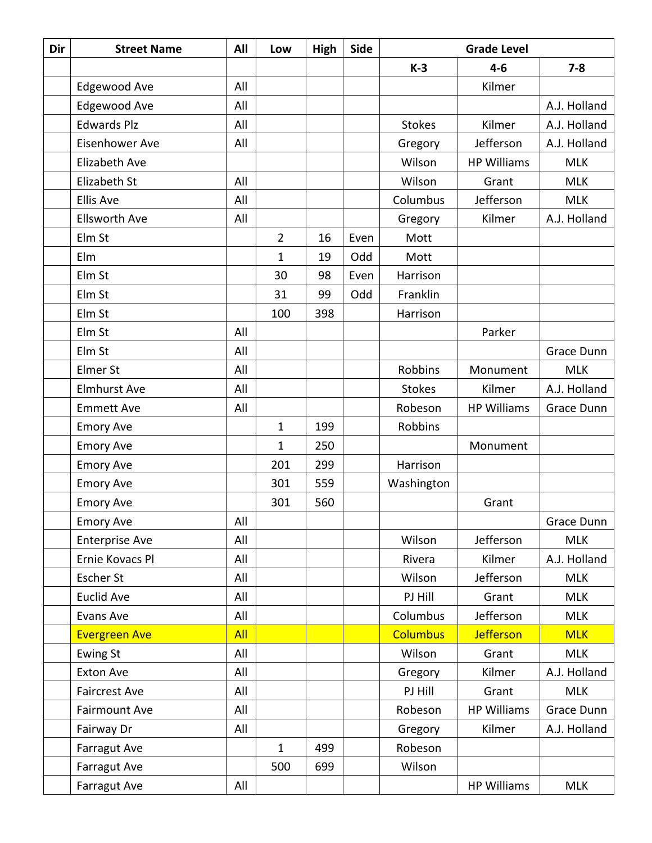| Dir | <b>Street Name</b>    | All | Low            | High | Side | <b>Grade Level</b> |                    |              |
|-----|-----------------------|-----|----------------|------|------|--------------------|--------------------|--------------|
|     |                       |     |                |      |      | $K-3$              | $4-6$              | $7 - 8$      |
|     | Edgewood Ave          | All |                |      |      |                    | Kilmer             |              |
|     | Edgewood Ave          | All |                |      |      |                    |                    | A.J. Holland |
|     | <b>Edwards Plz</b>    | All |                |      |      | <b>Stokes</b>      | Kilmer             | A.J. Holland |
|     | Eisenhower Ave        | All |                |      |      | Gregory            | Jefferson          | A.J. Holland |
|     | <b>Elizabeth Ave</b>  |     |                |      |      | Wilson             | <b>HP Williams</b> | <b>MLK</b>   |
|     | Elizabeth St          | All |                |      |      | Wilson             | Grant              | <b>MLK</b>   |
|     | <b>Ellis Ave</b>      | All |                |      |      | Columbus           | Jefferson          | <b>MLK</b>   |
|     | <b>Ellsworth Ave</b>  | All |                |      |      | Gregory            | Kilmer             | A.J. Holland |
|     | Elm St                |     | $\overline{2}$ | 16   | Even | Mott               |                    |              |
|     | Elm                   |     | 1              | 19   | Odd  | Mott               |                    |              |
|     | Elm St                |     | 30             | 98   | Even | Harrison           |                    |              |
|     | Elm St                |     | 31             | 99   | Odd  | Franklin           |                    |              |
|     | Elm St                |     | 100            | 398  |      | Harrison           |                    |              |
|     | Elm St                | All |                |      |      |                    | Parker             |              |
|     | Elm St                | All |                |      |      |                    |                    | Grace Dunn   |
|     | Elmer St              | All |                |      |      | Robbins            | Monument           | <b>MLK</b>   |
|     | <b>Elmhurst Ave</b>   | All |                |      |      | <b>Stokes</b>      | Kilmer             | A.J. Holland |
|     | <b>Emmett Ave</b>     | All |                |      |      | Robeson            | <b>HP Williams</b> | Grace Dunn   |
|     | <b>Emory Ave</b>      |     | $\mathbf{1}$   | 199  |      | Robbins            |                    |              |
|     | <b>Emory Ave</b>      |     | $\mathbf 1$    | 250  |      |                    | Monument           |              |
|     | <b>Emory Ave</b>      |     | 201            | 299  |      | Harrison           |                    |              |
|     | <b>Emory Ave</b>      |     | 301            | 559  |      | Washington         |                    |              |
|     | <b>Emory Ave</b>      |     | 301            | 560  |      |                    | Grant              |              |
|     | <b>Emory Ave</b>      | All |                |      |      |                    |                    | Grace Dunn   |
|     | <b>Enterprise Ave</b> | All |                |      |      | Wilson             | Jefferson          | <b>MLK</b>   |
|     | Ernie Kovacs Pl       | All |                |      |      | Rivera             | Kilmer             | A.J. Holland |
|     | Escher St             | All |                |      |      | Wilson             | Jefferson          | <b>MLK</b>   |
|     | <b>Euclid Ave</b>     | All |                |      |      | PJ Hill            | Grant              | <b>MLK</b>   |
|     | <b>Evans Ave</b>      | All |                |      |      | Columbus           | Jefferson          | <b>MLK</b>   |
|     | <b>Evergreen Ave</b>  | All |                |      |      | <b>Columbus</b>    | <b>Jefferson</b>   | <b>MLK</b>   |
|     | <b>Ewing St</b>       | All |                |      |      | Wilson             | Grant              | <b>MLK</b>   |
|     | <b>Exton Ave</b>      | All |                |      |      | Gregory            | Kilmer             | A.J. Holland |
|     | <b>Faircrest Ave</b>  | All |                |      |      | PJ Hill            | Grant              | <b>MLK</b>   |
|     | <b>Fairmount Ave</b>  | All |                |      |      | Robeson            | <b>HP Williams</b> | Grace Dunn   |
|     | Fairway Dr            | All |                |      |      | Gregory            | Kilmer             | A.J. Holland |
|     | Farragut Ave          |     | $\mathbf{1}$   | 499  |      | Robeson            |                    |              |
|     | <b>Farragut Ave</b>   |     | 500            | 699  |      | Wilson             |                    |              |
|     | Farragut Ave          | All |                |      |      |                    | <b>HP Williams</b> | <b>MLK</b>   |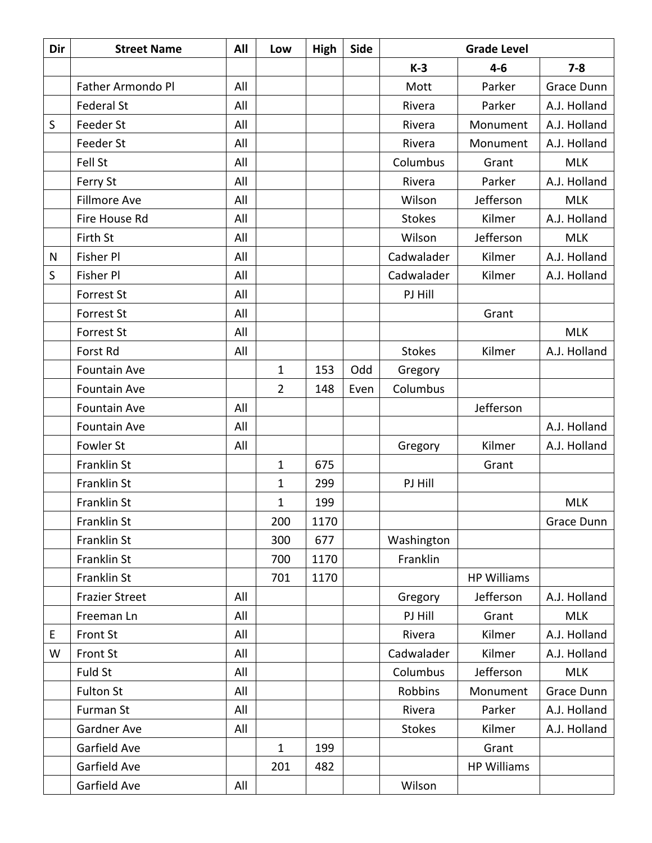| Dir          | <b>Street Name</b>    | All | Low            | High | <b>Side</b> | <b>Grade Level</b> |                    |              |
|--------------|-----------------------|-----|----------------|------|-------------|--------------------|--------------------|--------------|
|              |                       |     |                |      |             | $K-3$              | $4 - 6$            | $7 - 8$      |
|              | Father Armondo Pl     | All |                |      |             | Mott               | Parker             | Grace Dunn   |
|              | <b>Federal St</b>     | All |                |      |             | Rivera             | Parker             | A.J. Holland |
| S            | Feeder St             | All |                |      |             | Rivera             | Monument           | A.J. Holland |
|              | Feeder St             | All |                |      |             | Rivera             | Monument           | A.J. Holland |
|              | Fell St               | All |                |      |             | Columbus           | Grant              | <b>MLK</b>   |
|              | Ferry St              | All |                |      |             | Rivera             | Parker             | A.J. Holland |
|              | Fillmore Ave          | All |                |      |             | Wilson             | Jefferson          | <b>MLK</b>   |
|              | Fire House Rd         | All |                |      |             | <b>Stokes</b>      | Kilmer             | A.J. Holland |
|              | Firth St              | All |                |      |             | Wilson             | Jefferson          | <b>MLK</b>   |
| $\mathsf{N}$ | <b>Fisher Pl</b>      | All |                |      |             | Cadwalader         | Kilmer             | A.J. Holland |
| S            | Fisher Pl             | All |                |      |             | Cadwalader         | Kilmer             | A.J. Holland |
|              | <b>Forrest St</b>     | All |                |      |             | PJ Hill            |                    |              |
|              | <b>Forrest St</b>     | All |                |      |             |                    | Grant              |              |
|              | <b>Forrest St</b>     | All |                |      |             |                    |                    | <b>MLK</b>   |
|              | Forst Rd              | All |                |      |             | <b>Stokes</b>      | Kilmer             | A.J. Holland |
|              | <b>Fountain Ave</b>   |     | $\mathbf{1}$   | 153  | Odd         | Gregory            |                    |              |
|              | <b>Fountain Ave</b>   |     | $\overline{2}$ | 148  | Even        | Columbus           |                    |              |
|              | <b>Fountain Ave</b>   | All |                |      |             |                    | Jefferson          |              |
|              | <b>Fountain Ave</b>   | All |                |      |             |                    |                    | A.J. Holland |
|              | Fowler St             | All |                |      |             | Gregory            | Kilmer             | A.J. Holland |
|              | Franklin St           |     | $\mathbf{1}$   | 675  |             |                    | Grant              |              |
|              | <b>Franklin St</b>    |     | $\mathbf{1}$   | 299  |             | PJ Hill            |                    |              |
|              | Franklin St           |     | 1              | 199  |             |                    |                    | <b>MLK</b>   |
|              | Franklin St           |     | 200            | 1170 |             |                    |                    | Grace Dunn   |
|              | Franklin St           |     | 300            | 677  |             | Washington         |                    |              |
|              | Franklin St           |     | 700            | 1170 |             | Franklin           |                    |              |
|              | Franklin St           |     | 701            | 1170 |             |                    | <b>HP Williams</b> |              |
|              | <b>Frazier Street</b> | All |                |      |             | Gregory            | Jefferson          | A.J. Holland |
|              | Freeman Ln            | All |                |      |             | PJ Hill            | Grant              | <b>MLK</b>   |
| E            | Front St              | All |                |      |             | Rivera             | Kilmer             | A.J. Holland |
| W            | Front St              | All |                |      |             | Cadwalader         | Kilmer             | A.J. Holland |
|              | Fuld St               | All |                |      |             | Columbus           | Jefferson          | <b>MLK</b>   |
|              | <b>Fulton St</b>      | All |                |      |             | Robbins            | Monument           | Grace Dunn   |
|              | Furman St             | All |                |      |             | Rivera             | Parker             | A.J. Holland |
|              | Gardner Ave           | All |                |      |             | <b>Stokes</b>      | Kilmer             | A.J. Holland |
|              | Garfield Ave          |     | $\mathbf{1}$   | 199  |             |                    | Grant              |              |
|              | Garfield Ave          |     | 201            | 482  |             |                    | <b>HP Williams</b> |              |
|              | Garfield Ave          | All |                |      |             | Wilson             |                    |              |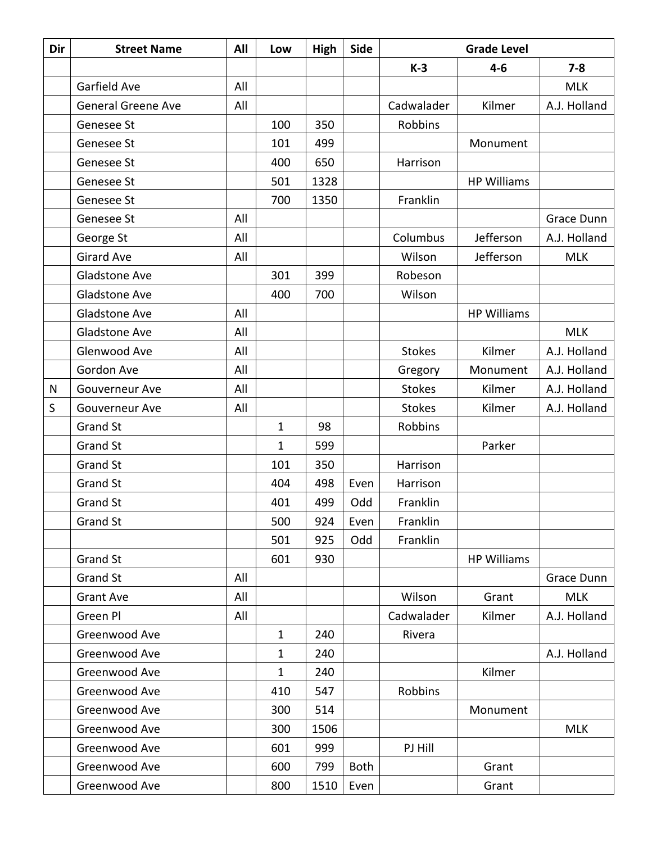| Dir | <b>Street Name</b>        | All | Low          | High | Side        | <b>Grade Level</b> |                    |              |
|-----|---------------------------|-----|--------------|------|-------------|--------------------|--------------------|--------------|
|     |                           |     |              |      |             | $K-3$              | $4 - 6$            | $7 - 8$      |
|     | Garfield Ave              | All |              |      |             |                    |                    | <b>MLK</b>   |
|     | <b>General Greene Ave</b> | All |              |      |             | Cadwalader         | Kilmer             | A.J. Holland |
|     | Genesee St                |     | 100          | 350  |             | Robbins            |                    |              |
|     | Genesee St                |     | 101          | 499  |             |                    | Monument           |              |
|     | Genesee St                |     | 400          | 650  |             | Harrison           |                    |              |
|     | Genesee St                |     | 501          | 1328 |             |                    | <b>HP Williams</b> |              |
|     | Genesee St                |     | 700          | 1350 |             | Franklin           |                    |              |
|     | Genesee St                | All |              |      |             |                    |                    | Grace Dunn   |
|     | George St                 | All |              |      |             | Columbus           | Jefferson          | A.J. Holland |
|     | <b>Girard Ave</b>         | All |              |      |             | Wilson             | Jefferson          | <b>MLK</b>   |
|     | Gladstone Ave             |     | 301          | 399  |             | Robeson            |                    |              |
|     | <b>Gladstone Ave</b>      |     | 400          | 700  |             | Wilson             |                    |              |
|     | Gladstone Ave             | All |              |      |             |                    | <b>HP Williams</b> |              |
|     | Gladstone Ave             | All |              |      |             |                    |                    | <b>MLK</b>   |
|     | Glenwood Ave              | All |              |      |             | <b>Stokes</b>      | Kilmer             | A.J. Holland |
|     | Gordon Ave                | All |              |      |             | Gregory            | Monument           | A.J. Holland |
| N   | Gouverneur Ave            | All |              |      |             | <b>Stokes</b>      | Kilmer             | A.J. Holland |
| S   | Gouverneur Ave            | All |              |      |             | <b>Stokes</b>      | Kilmer             | A.J. Holland |
|     | <b>Grand St</b>           |     | $\mathbf{1}$ | 98   |             | Robbins            |                    |              |
|     | <b>Grand St</b>           |     | $\mathbf{1}$ | 599  |             |                    | Parker             |              |
|     | <b>Grand St</b>           |     | 101          | 350  |             | Harrison           |                    |              |
|     | <b>Grand St</b>           |     | 404          | 498  | Even        | Harrison           |                    |              |
|     | <b>Grand St</b>           |     | 401          | 499  | Odd         | Franklin           |                    |              |
|     | <b>Grand St</b>           |     | 500          | 924  | Even        | Franklin           |                    |              |
|     |                           |     | 501          | 925  | Odd         | Franklin           |                    |              |
|     | Grand St                  |     | 601          | 930  |             |                    | <b>HP Williams</b> |              |
|     | <b>Grand St</b>           | All |              |      |             |                    |                    | Grace Dunn   |
|     | <b>Grant Ave</b>          | All |              |      |             | Wilson             | Grant              | <b>MLK</b>   |
|     | Green Pl                  | All |              |      |             | Cadwalader         | Kilmer             | A.J. Holland |
|     | Greenwood Ave             |     | $\mathbf{1}$ | 240  |             | Rivera             |                    |              |
|     | Greenwood Ave             |     | $\mathbf 1$  | 240  |             |                    |                    | A.J. Holland |
|     | Greenwood Ave             |     | $\mathbf 1$  | 240  |             |                    | Kilmer             |              |
|     | Greenwood Ave             |     | 410          | 547  |             | Robbins            |                    |              |
|     | Greenwood Ave             |     | 300          | 514  |             |                    | Monument           |              |
|     | Greenwood Ave             |     | 300          | 1506 |             |                    |                    | <b>MLK</b>   |
|     | Greenwood Ave             |     | 601          | 999  |             | PJ Hill            |                    |              |
|     | Greenwood Ave             |     | 600          | 799  | <b>Both</b> |                    | Grant              |              |
|     | Greenwood Ave             |     | 800          | 1510 | Even        |                    | Grant              |              |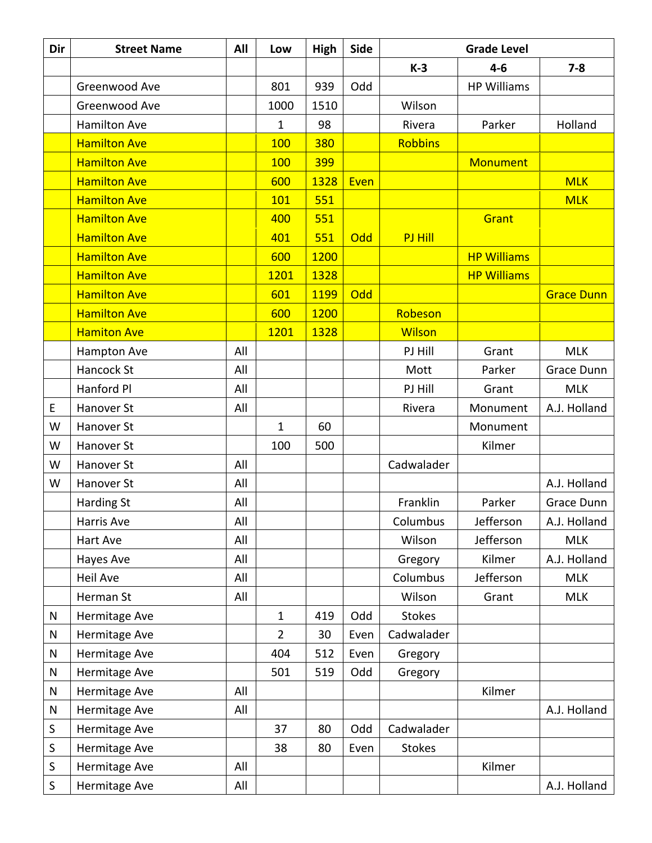| Dir       | <b>Street Name</b>  | All | Low            | <b>High</b> | Side |                | <b>Grade Level</b> |                   |
|-----------|---------------------|-----|----------------|-------------|------|----------------|--------------------|-------------------|
|           |                     |     |                |             |      | $K-3$          | $4 - 6$            | $7 - 8$           |
|           | Greenwood Ave       |     | 801            | 939         | Odd  |                | <b>HP Williams</b> |                   |
|           | Greenwood Ave       |     | 1000           | 1510        |      | Wilson         |                    |                   |
|           | <b>Hamilton Ave</b> |     | 1              | 98          |      | Rivera         | Parker             | Holland           |
|           | <b>Hamilton Ave</b> |     | 100            | 380         |      | <b>Robbins</b> |                    |                   |
|           | <b>Hamilton Ave</b> |     | 100            | 399         |      |                | <b>Monument</b>    |                   |
|           | <b>Hamilton Ave</b> |     | 600            | 1328        | Even |                |                    | <b>MLK</b>        |
|           | <b>Hamilton Ave</b> |     | 101            | 551         |      |                |                    | <b>MLK</b>        |
|           | <b>Hamilton Ave</b> |     | 400            | 551         |      |                | Grant              |                   |
|           | <b>Hamilton Ave</b> |     | 401            | 551         | Odd  | PJ Hill        |                    |                   |
|           | <b>Hamilton Ave</b> |     | 600            | 1200        |      |                | <b>HP Williams</b> |                   |
|           | <b>Hamilton Ave</b> |     | 1201           | 1328        |      |                | <b>HP Williams</b> |                   |
|           | <b>Hamilton Ave</b> |     | 601            | 1199        | Odd  |                |                    | <b>Grace Dunn</b> |
|           | <b>Hamilton Ave</b> |     | 600            | 1200        |      | Robeson        |                    |                   |
|           | <b>Hamiton Ave</b>  |     | 1201           | 1328        |      | <b>Wilson</b>  |                    |                   |
|           | <b>Hampton Ave</b>  | All |                |             |      | PJ Hill        | Grant              | <b>MLK</b>        |
|           | Hancock St          | All |                |             |      | Mott           | Parker             | Grace Dunn        |
|           | Hanford Pl          | All |                |             |      | PJ Hill        | Grant              | <b>MLK</b>        |
| E         | Hanover St          | All |                |             |      | Rivera         | Monument           | A.J. Holland      |
| W         | Hanover St          |     | $\mathbf{1}$   | 60          |      |                | Monument           |                   |
| W         | Hanover St          |     | 100            | 500         |      |                | Kilmer             |                   |
| W         | Hanover St          | All |                |             |      | Cadwalader     |                    |                   |
| W         | Hanover St          | All |                |             |      |                |                    | A.J. Holland      |
|           | <b>Harding St</b>   | All |                |             |      | Franklin       | Parker             | Grace Dunn        |
|           | Harris Ave          | All |                |             |      | Columbus       | Jefferson          | A.J. Holland      |
|           | Hart Ave            | All |                |             |      | Wilson         | Jefferson          | <b>MLK</b>        |
|           | Hayes Ave           | All |                |             |      | Gregory        | Kilmer             | A.J. Holland      |
|           | Heil Ave            | All |                |             |      | Columbus       | Jefferson          | <b>MLK</b>        |
|           | Herman St           | All |                |             |      | Wilson         | Grant              | <b>MLK</b>        |
| N         | Hermitage Ave       |     | $\mathbf{1}$   | 419         | Odd  | <b>Stokes</b>  |                    |                   |
| N         | Hermitage Ave       |     | $\overline{2}$ | 30          | Even | Cadwalader     |                    |                   |
| N         | Hermitage Ave       |     | 404            | 512         | Even | Gregory        |                    |                   |
| ${\sf N}$ | Hermitage Ave       |     | 501            | 519         | Odd  | Gregory        |                    |                   |
| ${\sf N}$ | Hermitage Ave       | All |                |             |      |                | Kilmer             |                   |
| ${\sf N}$ | Hermitage Ave       | All |                |             |      |                |                    | A.J. Holland      |
| $\sf S$   | Hermitage Ave       |     | 37             | 80          | Odd  | Cadwalader     |                    |                   |
| $\sf S$   | Hermitage Ave       |     | 38             | 80          | Even | <b>Stokes</b>  |                    |                   |
| $\sf S$   | Hermitage Ave       | All |                |             |      |                | Kilmer             |                   |
| $\sf S$   | Hermitage Ave       | All |                |             |      |                |                    | A.J. Holland      |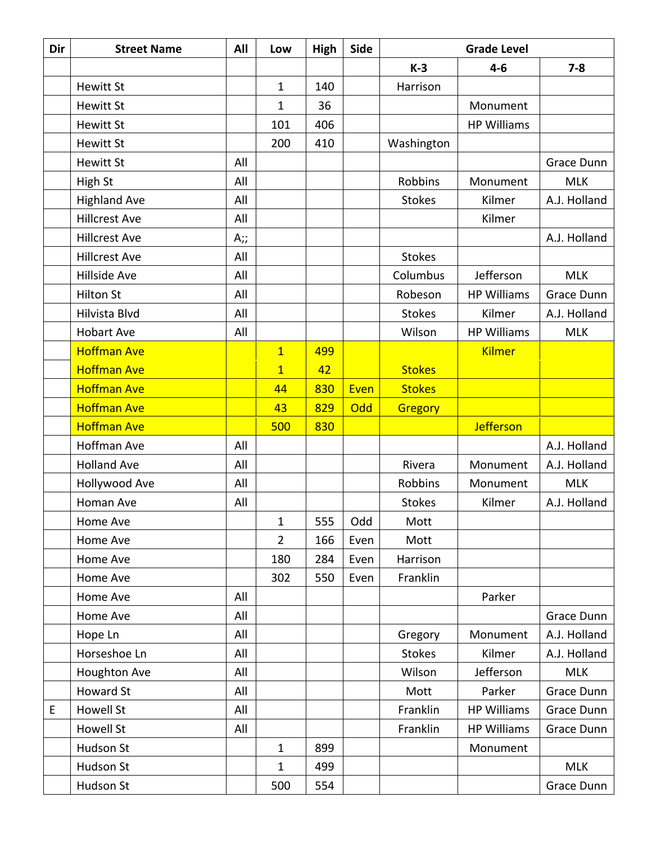| Dir | <b>Street Name</b>   | All | Low            | High | Side | <b>Grade Level</b> |                    |              |
|-----|----------------------|-----|----------------|------|------|--------------------|--------------------|--------------|
|     |                      |     |                |      |      | $K-3$              | $4 - 6$            | $7 - 8$      |
|     | <b>Hewitt St</b>     |     | 1              | 140  |      | Harrison           |                    |              |
|     | <b>Hewitt St</b>     |     | 1              | 36   |      |                    | Monument           |              |
|     | <b>Hewitt St</b>     |     | 101            | 406  |      |                    | <b>HP Williams</b> |              |
|     | <b>Hewitt St</b>     |     | 200            | 410  |      | Washington         |                    |              |
|     | <b>Hewitt St</b>     | All |                |      |      |                    |                    | Grace Dunn   |
|     | High St              | All |                |      |      | Robbins            | Monument           | <b>MLK</b>   |
|     | <b>Highland Ave</b>  | All |                |      |      | <b>Stokes</b>      | Kilmer             | A.J. Holland |
|     | <b>Hillcrest Ave</b> | All |                |      |      |                    | Kilmer             |              |
|     | <b>Hillcrest Ave</b> | A;; |                |      |      |                    |                    | A.J. Holland |
|     | <b>Hillcrest Ave</b> | All |                |      |      | <b>Stokes</b>      |                    |              |
|     | <b>Hillside Ave</b>  | All |                |      |      | Columbus           | Jefferson          | <b>MLK</b>   |
|     | <b>Hilton St</b>     | All |                |      |      | Robeson            | <b>HP Williams</b> | Grace Dunn   |
|     | Hilvista Blvd        | All |                |      |      | <b>Stokes</b>      | Kilmer             | A.J. Holland |
|     | <b>Hobart Ave</b>    | All |                |      |      | Wilson             | <b>HP Williams</b> | <b>MLK</b>   |
|     | <b>Hoffman Ave</b>   |     | $\overline{1}$ | 499  |      |                    | <b>Kilmer</b>      |              |
|     | <b>Hoffman Ave</b>   |     | $\overline{1}$ | 42   |      | <b>Stokes</b>      |                    |              |
|     | <b>Hoffman Ave</b>   |     | 44             | 830  | Even | <b>Stokes</b>      |                    |              |
|     | <b>Hoffman Ave</b>   |     | 43             | 829  | Odd  | Gregory            |                    |              |
|     | <b>Hoffman Ave</b>   |     | 500            | 830  |      |                    | <b>Jefferson</b>   |              |
|     | Hoffman Ave          | All |                |      |      |                    |                    | A.J. Holland |
|     | <b>Holland Ave</b>   | All |                |      |      | Rivera             | Monument           | A.J. Holland |
|     | Hollywood Ave        | All |                |      |      | Robbins            | Monument           | <b>MLK</b>   |
|     | Homan Ave            | All |                |      |      | <b>Stokes</b>      | Kilmer             | A.J. Holland |
|     | Home Ave             |     | 1              | 555  | Odd  | Mott               |                    |              |
|     | Home Ave             |     | $\overline{2}$ | 166  | Even | Mott               |                    |              |
|     | Home Ave             |     | 180            | 284  | Even | Harrison           |                    |              |
|     | Home Ave             |     | 302            | 550  | Even | Franklin           |                    |              |
|     | Home Ave             | All |                |      |      |                    | Parker             |              |
|     | Home Ave             | All |                |      |      |                    |                    | Grace Dunn   |
|     | Hope Ln              | All |                |      |      | Gregory            | Monument           | A.J. Holland |
|     | Horseshoe Ln         | All |                |      |      | <b>Stokes</b>      | Kilmer             | A.J. Holland |
|     | Houghton Ave         | All |                |      |      | Wilson             | Jefferson          | <b>MLK</b>   |
|     | <b>Howard St</b>     | All |                |      |      | Mott               | Parker             | Grace Dunn   |
| E   | <b>Howell St</b>     | All |                |      |      | Franklin           | <b>HP Williams</b> | Grace Dunn   |
|     | Howell St            | All |                |      |      | Franklin           | <b>HP Williams</b> | Grace Dunn   |
|     | Hudson St            |     | $\mathbf{1}$   | 899  |      |                    | Monument           |              |
|     | Hudson St            |     | $\mathbf 1$    | 499  |      |                    |                    | <b>MLK</b>   |
|     | Hudson St            |     | 500            | 554  |      |                    |                    | Grace Dunn   |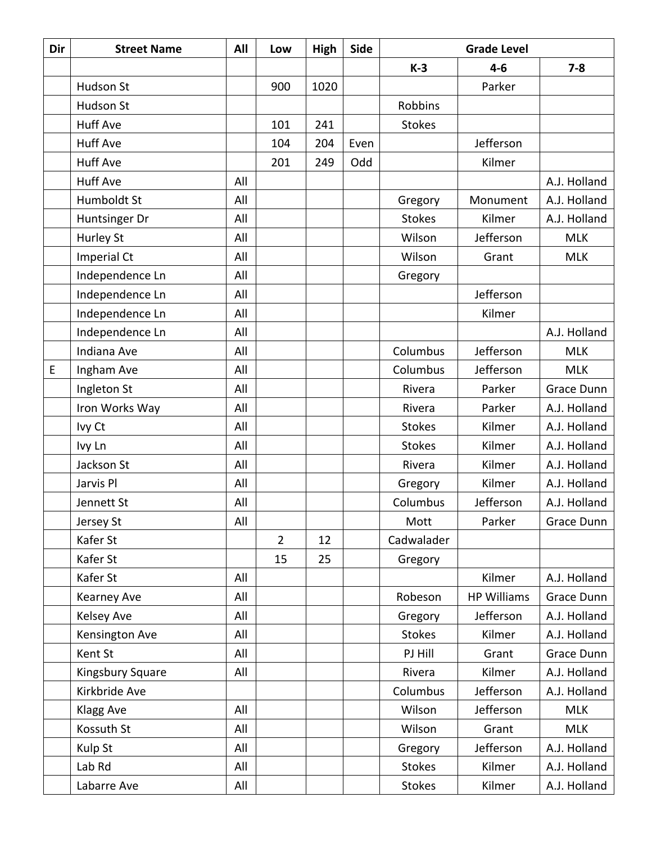| Dir | <b>Street Name</b> | All | Low            | High | <b>Side</b> | <b>Grade Level</b> |                    |              |
|-----|--------------------|-----|----------------|------|-------------|--------------------|--------------------|--------------|
|     |                    |     |                |      |             | $K-3$              | $4 - 6$            | $7 - 8$      |
|     | Hudson St          |     | 900            | 1020 |             |                    | Parker             |              |
|     | Hudson St          |     |                |      |             | <b>Robbins</b>     |                    |              |
|     | <b>Huff Ave</b>    |     | 101            | 241  |             | <b>Stokes</b>      |                    |              |
|     | <b>Huff Ave</b>    |     | 104            | 204  | Even        |                    | Jefferson          |              |
|     | <b>Huff Ave</b>    |     | 201            | 249  | Odd         |                    | Kilmer             |              |
|     | <b>Huff Ave</b>    | All |                |      |             |                    |                    | A.J. Holland |
|     | Humboldt St        | All |                |      |             | Gregory            | Monument           | A.J. Holland |
|     | Huntsinger Dr      | All |                |      |             | <b>Stokes</b>      | Kilmer             | A.J. Holland |
|     | Hurley St          | All |                |      |             | Wilson             | Jefferson          | <b>MLK</b>   |
|     | Imperial Ct        | All |                |      |             | Wilson             | Grant              | <b>MLK</b>   |
|     | Independence Ln    | All |                |      |             | Gregory            |                    |              |
|     | Independence Ln    | All |                |      |             |                    | Jefferson          |              |
|     | Independence Ln    | All |                |      |             |                    | Kilmer             |              |
|     | Independence Ln    | All |                |      |             |                    |                    | A.J. Holland |
|     | Indiana Ave        | All |                |      |             | Columbus           | Jefferson          | <b>MLK</b>   |
| E   | Ingham Ave         | All |                |      |             | Columbus           | Jefferson          | <b>MLK</b>   |
|     | Ingleton St        | All |                |      |             | Rivera             | Parker             | Grace Dunn   |
|     | Iron Works Way     | All |                |      |             | Rivera             | Parker             | A.J. Holland |
|     | Ivy Ct             | All |                |      |             | <b>Stokes</b>      | Kilmer             | A.J. Holland |
|     | Ivy Ln             | All |                |      |             | <b>Stokes</b>      | Kilmer             | A.J. Holland |
|     | Jackson St         | All |                |      |             | Rivera             | Kilmer             | A.J. Holland |
|     | Jarvis Pl          | All |                |      |             | Gregory            | Kilmer             | A.J. Holland |
|     | Jennett St         | All |                |      |             | Columbus           | Jefferson          | A.J. Holland |
|     | Jersey St          | All |                |      |             | Mott               | Parker             | Grace Dunn   |
|     | Kafer St           |     | $\overline{2}$ | 12   |             | Cadwalader         |                    |              |
|     | Kafer St           |     | 15             | 25   |             | Gregory            |                    |              |
|     | Kafer St           | All |                |      |             |                    | Kilmer             | A.J. Holland |
|     | Kearney Ave        | All |                |      |             | Robeson            | <b>HP Williams</b> | Grace Dunn   |
|     | Kelsey Ave         | All |                |      |             | Gregory            | Jefferson          | A.J. Holland |
|     | Kensington Ave     | All |                |      |             | <b>Stokes</b>      | Kilmer             | A.J. Holland |
|     | Kent St            | All |                |      |             | PJ Hill            | Grant              | Grace Dunn   |
|     | Kingsbury Square   | All |                |      |             | Rivera             | Kilmer             | A.J. Holland |
|     | Kirkbride Ave      |     |                |      |             | Columbus           | Jefferson          | A.J. Holland |
|     | Klagg Ave          | All |                |      |             | Wilson             | Jefferson          | <b>MLK</b>   |
|     | Kossuth St         | All |                |      |             | Wilson             | Grant              | <b>MLK</b>   |
|     | Kulp St            | All |                |      |             | Gregory            | Jefferson          | A.J. Holland |
|     | Lab Rd             | All |                |      |             | <b>Stokes</b>      | Kilmer             | A.J. Holland |
|     | Labarre Ave        | All |                |      |             | <b>Stokes</b>      | Kilmer             | A.J. Holland |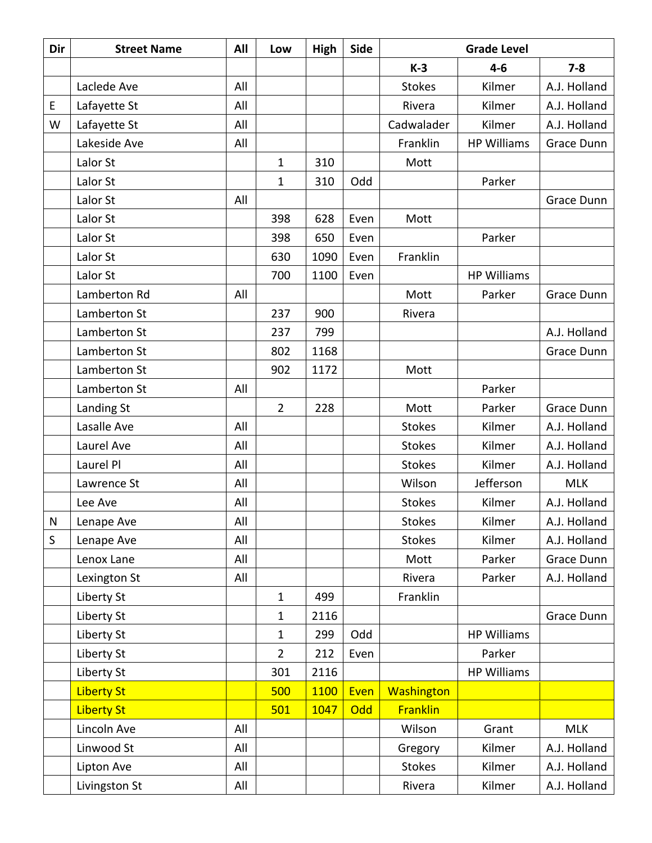| Dir          | <b>Street Name</b> | All | Low            | <b>High</b> | Side | <b>Grade Level</b> |                    |                   |
|--------------|--------------------|-----|----------------|-------------|------|--------------------|--------------------|-------------------|
|              |                    |     |                |             |      | $K-3$              | $4 - 6$            | $7 - 8$           |
|              | Laclede Ave        | All |                |             |      | <b>Stokes</b>      | Kilmer             | A.J. Holland      |
| E            | Lafayette St       | All |                |             |      | Rivera             | Kilmer             | A.J. Holland      |
| W            | Lafayette St       | All |                |             |      | Cadwalader         | Kilmer             | A.J. Holland      |
|              | Lakeside Ave       | All |                |             |      | Franklin           | <b>HP Williams</b> | Grace Dunn        |
|              | Lalor St           |     | 1              | 310         |      | Mott               |                    |                   |
|              | Lalor St           |     | 1              | 310         | Odd  |                    | Parker             |                   |
|              | Lalor St           | All |                |             |      |                    |                    | Grace Dunn        |
|              | Lalor St           |     | 398            | 628         | Even | Mott               |                    |                   |
|              | Lalor St           |     | 398            | 650         | Even |                    | Parker             |                   |
|              | Lalor St           |     | 630            | 1090        | Even | Franklin           |                    |                   |
|              | Lalor St           |     | 700            | 1100        | Even |                    | <b>HP Williams</b> |                   |
|              | Lamberton Rd       | All |                |             |      | Mott               | Parker             | <b>Grace Dunn</b> |
|              | Lamberton St       |     | 237            | 900         |      | Rivera             |                    |                   |
|              | Lamberton St       |     | 237            | 799         |      |                    |                    | A.J. Holland      |
|              | Lamberton St       |     | 802            | 1168        |      |                    |                    | Grace Dunn        |
|              | Lamberton St       |     | 902            | 1172        |      | Mott               |                    |                   |
|              | Lamberton St       | All |                |             |      |                    | Parker             |                   |
|              | Landing St         |     | $\overline{2}$ | 228         |      | Mott               | Parker             | Grace Dunn        |
|              | Lasalle Ave        | All |                |             |      | <b>Stokes</b>      | Kilmer             | A.J. Holland      |
|              | Laurel Ave         | All |                |             |      | <b>Stokes</b>      | Kilmer             | A.J. Holland      |
|              | Laurel Pl          | All |                |             |      | <b>Stokes</b>      | Kilmer             | A.J. Holland      |
|              | Lawrence St        | All |                |             |      | Wilson             | Jefferson          | <b>MLK</b>        |
|              | Lee Ave            | All |                |             |      | <b>Stokes</b>      | Kilmer             | A.J. Holland      |
| N            | Lenape Ave         | All |                |             |      | <b>Stokes</b>      | Kilmer             | A.J. Holland      |
| $\mathsf{S}$ | Lenape Ave         | All |                |             |      | <b>Stokes</b>      | Kilmer             | A.J. Holland      |
|              | Lenox Lane         | All |                |             |      | Mott               | Parker             | Grace Dunn        |
|              | Lexington St       | All |                |             |      | Rivera             | Parker             | A.J. Holland      |
|              | Liberty St         |     | $\mathbf{1}$   | 499         |      | Franklin           |                    |                   |
|              | Liberty St         |     | 1              | 2116        |      |                    |                    | Grace Dunn        |
|              | Liberty St         |     | 1              | 299         | Odd  |                    | <b>HP Williams</b> |                   |
|              | Liberty St         |     | $\overline{2}$ | 212         | Even |                    | Parker             |                   |
|              | Liberty St         |     | 301            | 2116        |      |                    | <b>HP Williams</b> |                   |
|              | <b>Liberty St</b>  |     | 500            | 1100        | Even | <b>Washington</b>  |                    |                   |
|              | <b>Liberty St</b>  |     | 501            | 1047        | Odd  | <b>Franklin</b>    |                    |                   |
|              | Lincoln Ave        | All |                |             |      | Wilson             | Grant              | <b>MLK</b>        |
|              | Linwood St         | All |                |             |      | Gregory            | Kilmer             | A.J. Holland      |
|              | Lipton Ave         | All |                |             |      | <b>Stokes</b>      | Kilmer             | A.J. Holland      |
|              | Livingston St      | All |                |             |      | Rivera             | Kilmer             | A.J. Holland      |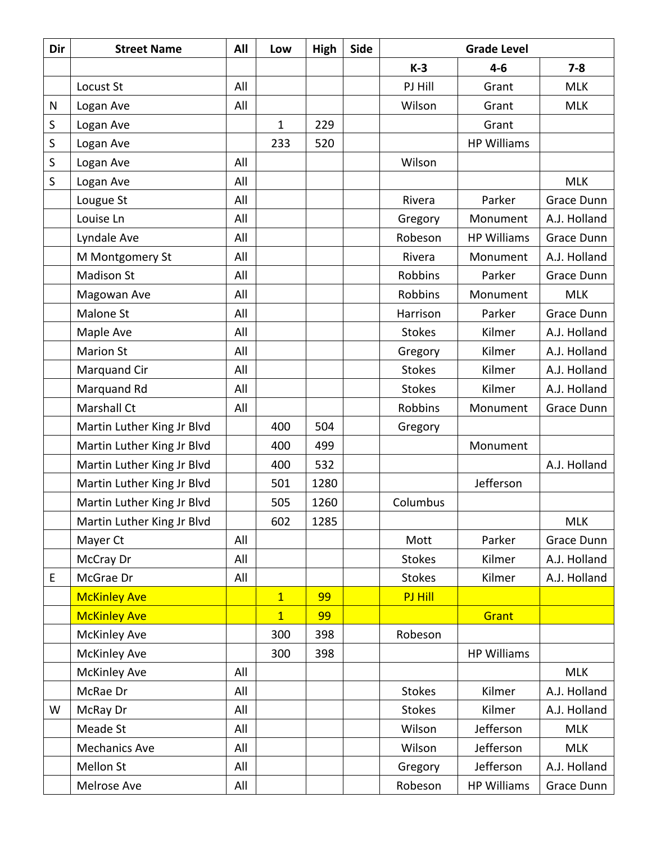| Dir | <b>Street Name</b>         | All | Low            | High | <b>Side</b> | <b>Grade Level</b> |                    |              |
|-----|----------------------------|-----|----------------|------|-------------|--------------------|--------------------|--------------|
|     |                            |     |                |      |             | $K-3$              | $4 - 6$            | $7 - 8$      |
|     | Locust St                  | All |                |      |             | PJ Hill            | Grant              | <b>MLK</b>   |
| N   | Logan Ave                  | All |                |      |             | Wilson             | Grant              | <b>MLK</b>   |
| S   | Logan Ave                  |     | $\mathbf{1}$   | 229  |             |                    | Grant              |              |
| S   | Logan Ave                  |     | 233            | 520  |             |                    | <b>HP Williams</b> |              |
| S   | Logan Ave                  | All |                |      |             | Wilson             |                    |              |
| S   | Logan Ave                  | All |                |      |             |                    |                    | <b>MLK</b>   |
|     | Lougue St                  | All |                |      |             | Rivera             | Parker             | Grace Dunn   |
|     | Louise Ln                  | All |                |      |             | Gregory            | Monument           | A.J. Holland |
|     | Lyndale Ave                | All |                |      |             | Robeson            | <b>HP Williams</b> | Grace Dunn   |
|     | M Montgomery St            | All |                |      |             | Rivera             | Monument           | A.J. Holland |
|     | <b>Madison St</b>          | All |                |      |             | <b>Robbins</b>     | Parker             | Grace Dunn   |
|     | Magowan Ave                | All |                |      |             | <b>Robbins</b>     | Monument           | <b>MLK</b>   |
|     | <b>Malone St</b>           | All |                |      |             | Harrison           | Parker             | Grace Dunn   |
|     | Maple Ave                  | All |                |      |             | <b>Stokes</b>      | Kilmer             | A.J. Holland |
|     | <b>Marion St</b>           | All |                |      |             | Gregory            | Kilmer             | A.J. Holland |
|     | Marquand Cir               | All |                |      |             | <b>Stokes</b>      | Kilmer             | A.J. Holland |
|     | Marquand Rd                | All |                |      |             | <b>Stokes</b>      | Kilmer             | A.J. Holland |
|     | <b>Marshall Ct</b>         | All |                |      |             | Robbins            | Monument           | Grace Dunn   |
|     | Martin Luther King Jr Blvd |     | 400            | 504  |             | Gregory            |                    |              |
|     | Martin Luther King Jr Blvd |     | 400            | 499  |             |                    | Monument           |              |
|     | Martin Luther King Jr Blvd |     | 400            | 532  |             |                    |                    | A.J. Holland |
|     | Martin Luther King Jr Blvd |     | 501            | 1280 |             |                    | Jefferson          |              |
|     | Martin Luther King Jr Blvd |     | 505            | 1260 |             | Columbus           |                    |              |
|     | Martin Luther King Jr Blvd |     | 602            | 1285 |             |                    |                    | <b>MLK</b>   |
|     | Mayer Ct                   | All |                |      |             | Mott               | Parker             | Grace Dunn   |
|     | McCray Dr                  | All |                |      |             | <b>Stokes</b>      | Kilmer             | A.J. Holland |
| E   | McGrae Dr                  | All |                |      |             | <b>Stokes</b>      | Kilmer             | A.J. Holland |
|     | <b>McKinley Ave</b>        |     | $\overline{1}$ | 99   |             | PJ Hill            |                    |              |
|     | <b>McKinley Ave</b>        |     | $\overline{1}$ | 99   |             |                    | Grant              |              |
|     | <b>McKinley Ave</b>        |     | 300            | 398  |             | Robeson            |                    |              |
|     | <b>McKinley Ave</b>        |     | 300            | 398  |             |                    | <b>HP Williams</b> |              |
|     | <b>McKinley Ave</b>        | All |                |      |             |                    |                    | <b>MLK</b>   |
|     | McRae Dr                   | All |                |      |             | <b>Stokes</b>      | Kilmer             | A.J. Holland |
| W   | McRay Dr                   | All |                |      |             | <b>Stokes</b>      | Kilmer             | A.J. Holland |
|     | Meade St                   | All |                |      |             | Wilson             | Jefferson          | <b>MLK</b>   |
|     | <b>Mechanics Ave</b>       | All |                |      |             | Wilson             | Jefferson          | <b>MLK</b>   |
|     | Mellon St                  | All |                |      |             | Gregory            | Jefferson          | A.J. Holland |
|     | Melrose Ave                | All |                |      |             | Robeson            | <b>HP Williams</b> | Grace Dunn   |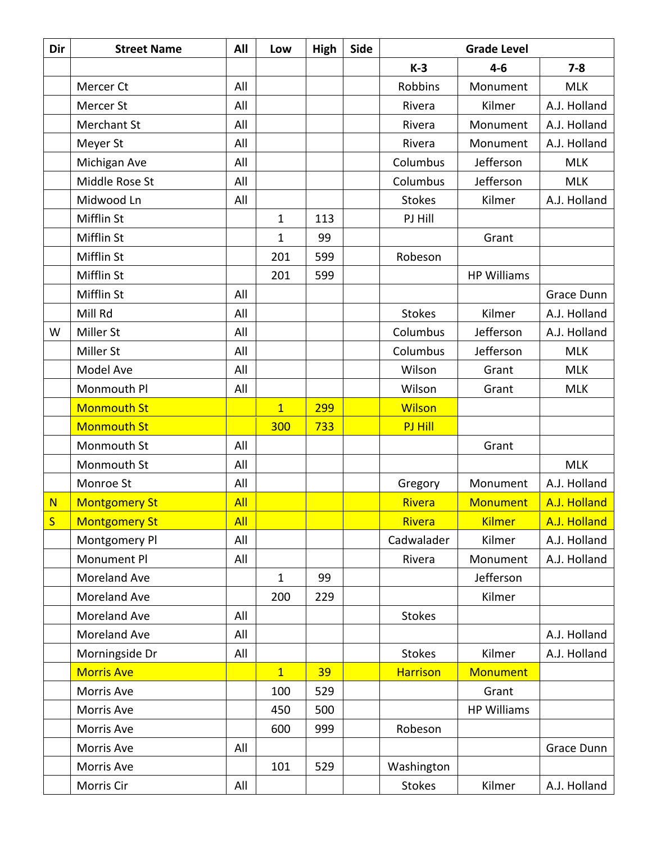| Dir            | <b>Street Name</b>   | All        | Low            | High | Side | <b>Grade Level</b> |                    |              |
|----------------|----------------------|------------|----------------|------|------|--------------------|--------------------|--------------|
|                |                      |            |                |      |      | $K-3$              | $4 - 6$            | $7 - 8$      |
|                | Mercer Ct            | All        |                |      |      | <b>Robbins</b>     | Monument           | <b>MLK</b>   |
|                | Mercer St            | All        |                |      |      | Rivera             | Kilmer             | A.J. Holland |
|                | Merchant St          | All        |                |      |      | Rivera             | Monument           | A.J. Holland |
|                | Meyer St             | All        |                |      |      | Rivera             | Monument           | A.J. Holland |
|                | Michigan Ave         | All        |                |      |      | Columbus           | Jefferson          | <b>MLK</b>   |
|                | Middle Rose St       | All        |                |      |      | Columbus           | Jefferson          | <b>MLK</b>   |
|                | Midwood Ln           | All        |                |      |      | <b>Stokes</b>      | Kilmer             | A.J. Holland |
|                | Mifflin St           |            | $\mathbf{1}$   | 113  |      | PJ Hill            |                    |              |
|                | Mifflin St           |            | $\mathbf 1$    | 99   |      |                    | Grant              |              |
|                | Mifflin St           |            | 201            | 599  |      | Robeson            |                    |              |
|                | Mifflin St           |            | 201            | 599  |      |                    | <b>HP Williams</b> |              |
|                | Mifflin St           | All        |                |      |      |                    |                    | Grace Dunn   |
|                | Mill Rd              | All        |                |      |      | <b>Stokes</b>      | Kilmer             | A.J. Holland |
| W              | Miller St            | All        |                |      |      | Columbus           | Jefferson          | A.J. Holland |
|                | Miller St            | All        |                |      |      | Columbus           | Jefferson          | <b>MLK</b>   |
|                | Model Ave            | All        |                |      |      | Wilson             | Grant              | <b>MLK</b>   |
|                | Monmouth Pl          | All        |                |      |      | Wilson             | Grant              | <b>MLK</b>   |
|                | <b>Monmouth St</b>   |            | $\overline{1}$ | 299  |      | <b>Wilson</b>      |                    |              |
|                | <b>Monmouth St</b>   |            | 300            | 733  |      | <b>PJ Hill</b>     |                    |              |
|                | Monmouth St          | All        |                |      |      |                    | Grant              |              |
|                | Monmouth St          | All        |                |      |      |                    |                    | <b>MLK</b>   |
|                | Monroe St            | All        |                |      |      | Gregory            | Monument           | A.J. Holland |
| N <sub>1</sub> | <b>Montgomery St</b> | <b>All</b> |                |      |      | Rivera             | <b>Monument</b>    | A.J. Holland |
| S              | <b>Montgomery St</b> | All        |                |      |      | Rivera             | <b>Kilmer</b>      | A.J. Holland |
|                | Montgomery Pl        | All        |                |      |      | Cadwalader         | Kilmer             | A.J. Holland |
|                | Monument Pl          | All        |                |      |      | Rivera             | Monument           | A.J. Holland |
|                | Moreland Ave         |            | $\mathbf 1$    | 99   |      |                    | Jefferson          |              |
|                | Moreland Ave         |            | 200            | 229  |      |                    | Kilmer             |              |
|                | Moreland Ave         | All        |                |      |      | <b>Stokes</b>      |                    |              |
|                | Moreland Ave         | All        |                |      |      |                    |                    | A.J. Holland |
|                | Morningside Dr       | All        |                |      |      | <b>Stokes</b>      | Kilmer             | A.J. Holland |
|                | <b>Morris Ave</b>    |            | $\mathbf{1}$   | 39   |      | <b>Harrison</b>    | <b>Monument</b>    |              |
|                | Morris Ave           |            | 100            | 529  |      |                    | Grant              |              |
|                | Morris Ave           |            | 450            | 500  |      |                    | <b>HP Williams</b> |              |
|                | Morris Ave           |            | 600            | 999  |      | Robeson            |                    |              |
|                | Morris Ave           | All        |                |      |      |                    |                    | Grace Dunn   |
|                | Morris Ave           |            | 101            | 529  |      | Washington         |                    |              |
|                | Morris Cir           | All        |                |      |      | <b>Stokes</b>      | Kilmer             | A.J. Holland |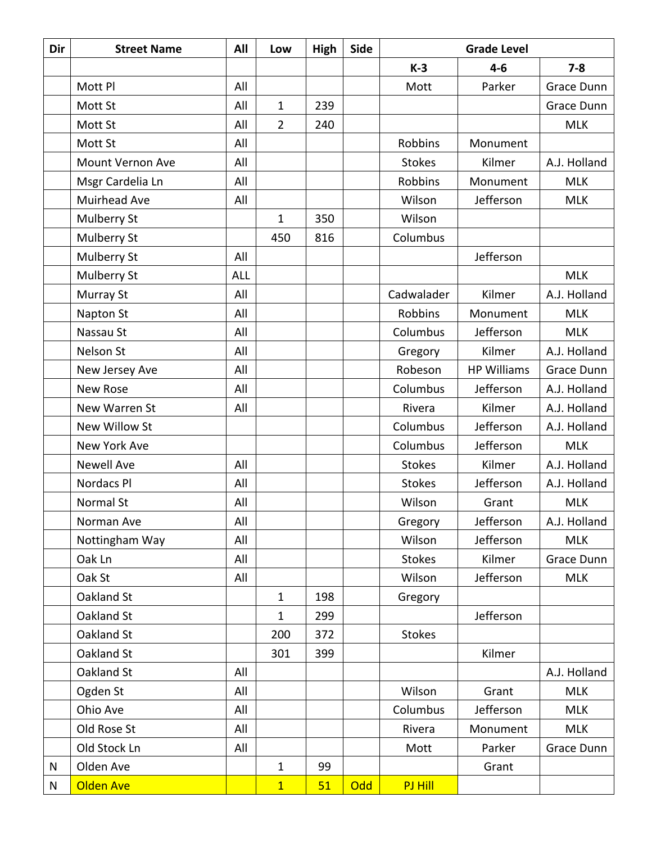| Dir | <b>Street Name</b> | All        | Low            | High | Side | <b>Grade Level</b> |                    |              |
|-----|--------------------|------------|----------------|------|------|--------------------|--------------------|--------------|
|     |                    |            |                |      |      | $K-3$              | $4 - 6$            | $7 - 8$      |
|     | Mott Pl            | All        |                |      |      | Mott               | Parker             | Grace Dunn   |
|     | Mott St            | All        | $\mathbf{1}$   | 239  |      |                    |                    | Grace Dunn   |
|     | Mott St            | All        | $\overline{2}$ | 240  |      |                    |                    | <b>MLK</b>   |
|     | Mott St            | All        |                |      |      | Robbins            | Monument           |              |
|     | Mount Vernon Ave   | All        |                |      |      | <b>Stokes</b>      | Kilmer             | A.J. Holland |
|     | Msgr Cardelia Ln   | All        |                |      |      | <b>Robbins</b>     | Monument           | <b>MLK</b>   |
|     | Muirhead Ave       | All        |                |      |      | Wilson             | Jefferson          | <b>MLK</b>   |
|     | Mulberry St        |            | 1              | 350  |      | Wilson             |                    |              |
|     | Mulberry St        |            | 450            | 816  |      | Columbus           |                    |              |
|     | Mulberry St        | All        |                |      |      |                    | Jefferson          |              |
|     | Mulberry St        | <b>ALL</b> |                |      |      |                    |                    | <b>MLK</b>   |
|     | Murray St          | All        |                |      |      | Cadwalader         | Kilmer             | A.J. Holland |
|     | Napton St          | All        |                |      |      | Robbins            | Monument           | <b>MLK</b>   |
|     | Nassau St          | All        |                |      |      | Columbus           | Jefferson          | <b>MLK</b>   |
|     | Nelson St          | All        |                |      |      | Gregory            | Kilmer             | A.J. Holland |
|     | New Jersey Ave     | All        |                |      |      | Robeson            | <b>HP Williams</b> | Grace Dunn   |
|     | <b>New Rose</b>    | All        |                |      |      | Columbus           | Jefferson          | A.J. Holland |
|     | New Warren St      | All        |                |      |      | Rivera             | Kilmer             | A.J. Holland |
|     | New Willow St      |            |                |      |      | Columbus           | Jefferson          | A.J. Holland |
|     | New York Ave       |            |                |      |      | Columbus           | Jefferson          | <b>MLK</b>   |
|     | <b>Newell Ave</b>  | All        |                |      |      | <b>Stokes</b>      | Kilmer             | A.J. Holland |
|     | Nordacs Pl         | All        |                |      |      | <b>Stokes</b>      | Jefferson          | A.J. Holland |
|     | Normal St          | All        |                |      |      | Wilson             | Grant              | <b>MLK</b>   |
|     | Norman Ave         | All        |                |      |      | Gregory            | Jefferson          | A.J. Holland |
|     | Nottingham Way     | All        |                |      |      | Wilson             | Jefferson          | <b>MLK</b>   |
|     | Oak Ln             | All        |                |      |      | <b>Stokes</b>      | Kilmer             | Grace Dunn   |
|     | Oak St             | All        |                |      |      | Wilson             | Jefferson          | <b>MLK</b>   |
|     | Oakland St         |            | $\mathbf{1}$   | 198  |      | Gregory            |                    |              |
|     | Oakland St         |            | $\mathbf 1$    | 299  |      |                    | Jefferson          |              |
|     | Oakland St         |            | 200            | 372  |      | <b>Stokes</b>      |                    |              |
|     | Oakland St         |            | 301            | 399  |      |                    | Kilmer             |              |
|     | Oakland St         | All        |                |      |      |                    |                    | A.J. Holland |
|     | Ogden St           | All        |                |      |      | Wilson             | Grant              | <b>MLK</b>   |
|     | Ohio Ave           | All        |                |      |      | Columbus           | Jefferson          | <b>MLK</b>   |
|     | Old Rose St        | All        |                |      |      | Rivera             | Monument           | <b>MLK</b>   |
|     | Old Stock Ln       | All        |                |      |      | Mott               | Parker             | Grace Dunn   |
| N   | Olden Ave          |            | $\mathbf{1}$   | 99   |      |                    | Grant              |              |
| N   | <b>Olden Ave</b>   |            | $\overline{1}$ | 51   | Odd  | PJ Hill            |                    |              |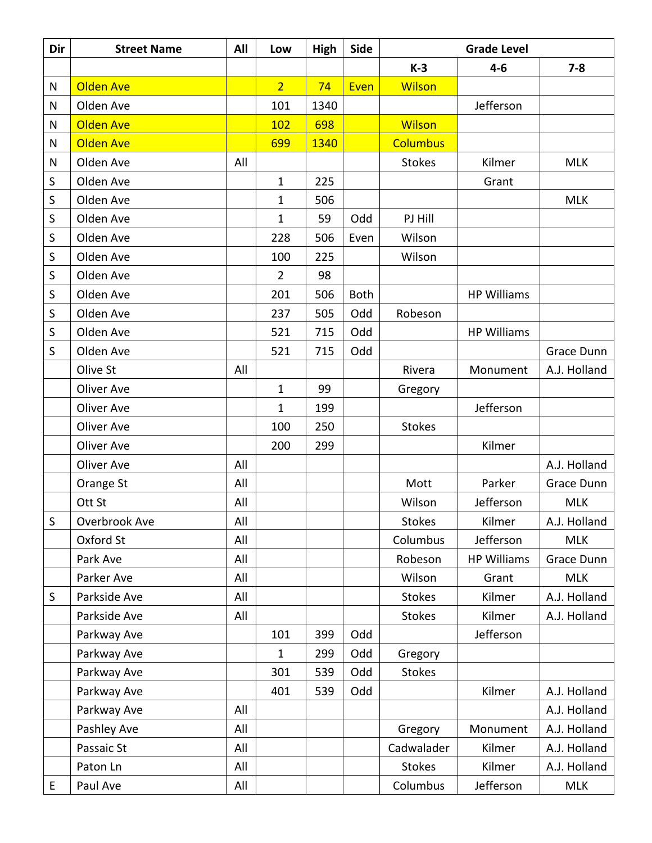| Dir         | <b>Street Name</b> | All | Low            | High | <b>Side</b> | <b>Grade Level</b> |                    |              |
|-------------|--------------------|-----|----------------|------|-------------|--------------------|--------------------|--------------|
|             |                    |     |                |      |             | $K-3$              | $4 - 6$            | $7 - 8$      |
| N           | <b>Olden Ave</b>   |     | $\overline{2}$ | 74   | Even        | <b>Wilson</b>      |                    |              |
| N           | Olden Ave          |     | 101            | 1340 |             |                    | Jefferson          |              |
| N           | <b>Olden Ave</b>   |     | 102            | 698  |             | <b>Wilson</b>      |                    |              |
| N           | <b>Olden Ave</b>   |     | 699            | 1340 |             | <b>Columbus</b>    |                    |              |
| N           | Olden Ave          | All |                |      |             | <b>Stokes</b>      | Kilmer             | <b>MLK</b>   |
| S           | Olden Ave          |     | $\mathbf{1}$   | 225  |             |                    | Grant              |              |
| S           | Olden Ave          |     | $\mathbf{1}$   | 506  |             |                    |                    | <b>MLK</b>   |
| $\sf S$     | Olden Ave          |     | $\mathbf{1}$   | 59   | Odd         | PJ Hill            |                    |              |
| S           | Olden Ave          |     | 228            | 506  | Even        | Wilson             |                    |              |
| $\sf S$     | Olden Ave          |     | 100            | 225  |             | Wilson             |                    |              |
| S           | Olden Ave          |     | 2              | 98   |             |                    |                    |              |
| $\sf S$     | Olden Ave          |     | 201            | 506  | <b>Both</b> |                    | <b>HP Williams</b> |              |
| S           | Olden Ave          |     | 237            | 505  | Odd         | Robeson            |                    |              |
| S           | Olden Ave          |     | 521            | 715  | Odd         |                    | <b>HP Williams</b> |              |
| S           | Olden Ave          |     | 521            | 715  | Odd         |                    |                    | Grace Dunn   |
|             | Olive St           | All |                |      |             | Rivera             | Monument           | A.J. Holland |
|             | Oliver Ave         |     | $\mathbf{1}$   | 99   |             | Gregory            |                    |              |
|             | Oliver Ave         |     | $\mathbf{1}$   | 199  |             |                    | Jefferson          |              |
|             | Oliver Ave         |     | 100            | 250  |             | <b>Stokes</b>      |                    |              |
|             | Oliver Ave         |     | 200            | 299  |             |                    | Kilmer             |              |
|             | Oliver Ave         | All |                |      |             |                    |                    | A.J. Holland |
|             | Orange St          | All |                |      |             | Mott               | Parker             | Grace Dunn   |
|             | Ott St             | All |                |      |             | Wilson             | Jefferson          | <b>MLK</b>   |
| $\mathsf S$ | Overbrook Ave      | All |                |      |             | <b>Stokes</b>      | Kilmer             | A.J. Holland |
|             | Oxford St          | All |                |      |             | Columbus           | Jefferson          | <b>MLK</b>   |
|             | Park Ave           | All |                |      |             | Robeson            | <b>HP Williams</b> | Grace Dunn   |
|             | Parker Ave         | All |                |      |             | Wilson             | Grant              | <b>MLK</b>   |
| S           | Parkside Ave       | All |                |      |             | <b>Stokes</b>      | Kilmer             | A.J. Holland |
|             | Parkside Ave       | All |                |      |             | <b>Stokes</b>      | Kilmer             | A.J. Holland |
|             | Parkway Ave        |     | 101            | 399  | Odd         |                    | Jefferson          |              |
|             | Parkway Ave        |     | $\mathbf 1$    | 299  | Odd         | Gregory            |                    |              |
|             | Parkway Ave        |     | 301            | 539  | Odd         | <b>Stokes</b>      |                    |              |
|             | Parkway Ave        |     | 401            | 539  | Odd         |                    | Kilmer             | A.J. Holland |
|             | Parkway Ave        | All |                |      |             |                    |                    | A.J. Holland |
|             | Pashley Ave        | All |                |      |             | Gregory            | Monument           | A.J. Holland |
|             | Passaic St         | All |                |      |             | Cadwalader         | Kilmer             | A.J. Holland |
|             | Paton Ln           | All |                |      |             | <b>Stokes</b>      | Kilmer             | A.J. Holland |
| E           | Paul Ave           | All |                |      |             | Columbus           | Jefferson          | <b>MLK</b>   |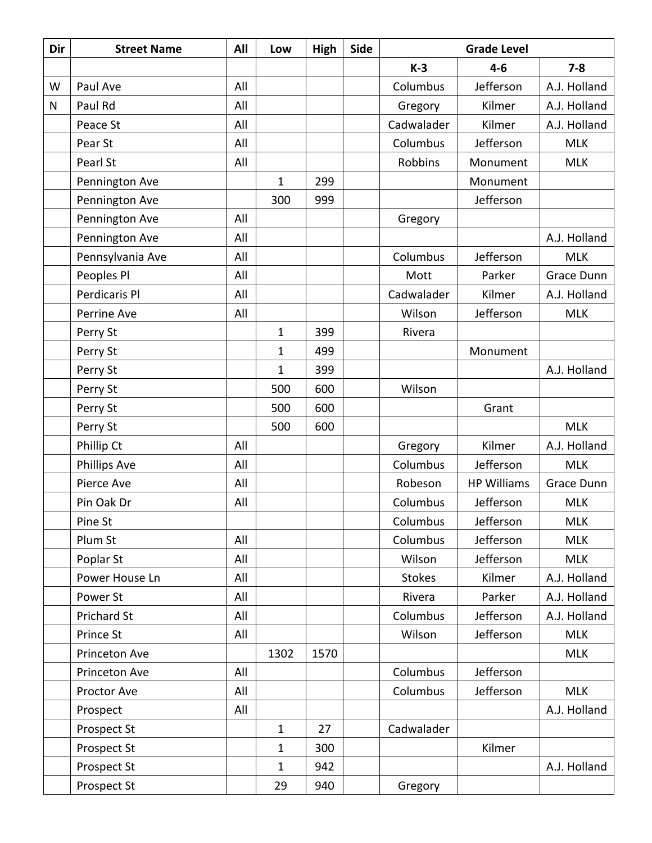| Dir       | <b>Street Name</b> | All | Low          | High | Side | <b>Grade Level</b> |                    |              |
|-----------|--------------------|-----|--------------|------|------|--------------------|--------------------|--------------|
|           |                    |     |              |      |      | $K-3$              | $4-6$              | $7 - 8$      |
| W         | Paul Ave           | All |              |      |      | Columbus           | Jefferson          | A.J. Holland |
| ${\sf N}$ | Paul Rd            | All |              |      |      | Gregory            | Kilmer             | A.J. Holland |
|           | Peace St           | All |              |      |      | Cadwalader         | Kilmer             | A.J. Holland |
|           | Pear St            | All |              |      |      | Columbus           | Jefferson          | <b>MLK</b>   |
|           | Pearl St           | All |              |      |      | <b>Robbins</b>     | Monument           | <b>MLK</b>   |
|           | Pennington Ave     |     | 1            | 299  |      |                    | Monument           |              |
|           | Pennington Ave     |     | 300          | 999  |      |                    | Jefferson          |              |
|           | Pennington Ave     | All |              |      |      | Gregory            |                    |              |
|           | Pennington Ave     | All |              |      |      |                    |                    | A.J. Holland |
|           | Pennsylvania Ave   | All |              |      |      | Columbus           | Jefferson          | <b>MLK</b>   |
|           | Peoples Pl         | All |              |      |      | Mott               | Parker             | Grace Dunn   |
|           | Perdicaris Pl      | All |              |      |      | Cadwalader         | Kilmer             | A.J. Holland |
|           | Perrine Ave        | All |              |      |      | Wilson             | Jefferson          | <b>MLK</b>   |
|           | Perry St           |     | $\mathbf{1}$ | 399  |      | Rivera             |                    |              |
|           | Perry St           |     | $\mathbf 1$  | 499  |      |                    | Monument           |              |
|           | Perry St           |     | 1            | 399  |      |                    |                    | A.J. Holland |
|           | Perry St           |     | 500          | 600  |      | Wilson             |                    |              |
|           | Perry St           |     | 500          | 600  |      |                    | Grant              |              |
|           | Perry St           |     | 500          | 600  |      |                    |                    | <b>MLK</b>   |
|           | Phillip Ct         | All |              |      |      | Gregory            | Kilmer             | A.J. Holland |
|           | Phillips Ave       | All |              |      |      | Columbus           | Jefferson          | <b>MLK</b>   |
|           | Pierce Ave         | All |              |      |      | Robeson            | <b>HP Williams</b> | Grace Dunn   |
|           | Pin Oak Dr         | All |              |      |      | Columbus           | Jefferson          | <b>MLK</b>   |
|           | Pine St            |     |              |      |      | Columbus           | Jefferson          | <b>MLK</b>   |
|           | Plum St            | All |              |      |      | Columbus           | Jefferson          | <b>MLK</b>   |
|           | Poplar St          | All |              |      |      | Wilson             | Jefferson          | <b>MLK</b>   |
|           | Power House Ln     | All |              |      |      | <b>Stokes</b>      | Kilmer             | A.J. Holland |
|           | Power St           | All |              |      |      | Rivera             | Parker             | A.J. Holland |
|           | Prichard St        | All |              |      |      | Columbus           | Jefferson          | A.J. Holland |
|           | Prince St          | All |              |      |      | Wilson             | Jefferson          | <b>MLK</b>   |
|           | Princeton Ave      |     | 1302         | 1570 |      |                    |                    | <b>MLK</b>   |
|           | Princeton Ave      | All |              |      |      | Columbus           | Jefferson          |              |
|           | Proctor Ave        | All |              |      |      | Columbus           | Jefferson          | <b>MLK</b>   |
|           | Prospect           | All |              |      |      |                    |                    | A.J. Holland |
|           | Prospect St        |     | $\mathbf 1$  | 27   |      | Cadwalader         |                    |              |
|           | Prospect St        |     | 1            | 300  |      |                    | Kilmer             |              |
|           | Prospect St        |     | 1            | 942  |      |                    |                    | A.J. Holland |
|           | Prospect St        |     | 29           | 940  |      | Gregory            |                    |              |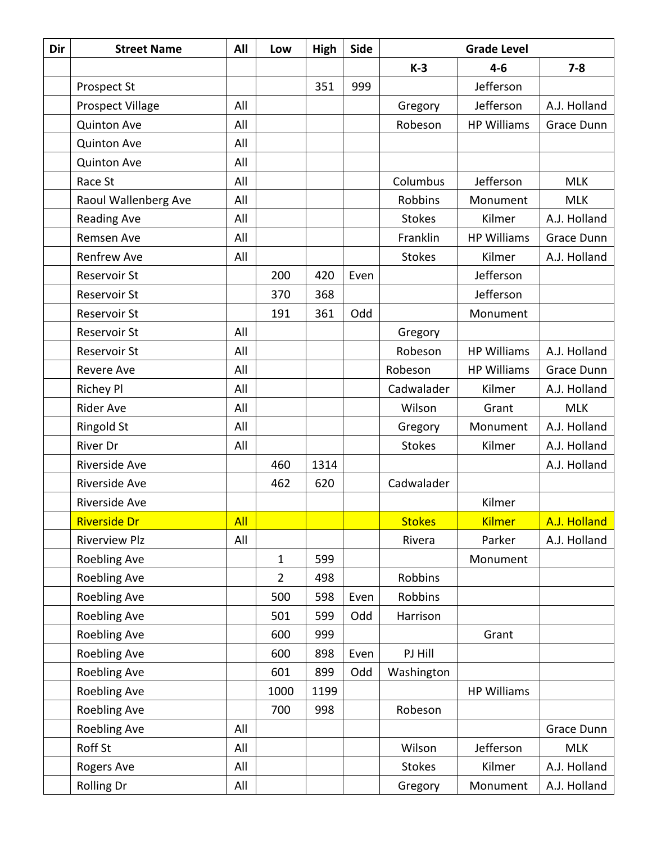| Dir | <b>Street Name</b>      | All        | Low            | High | Side |               | <b>Grade Level</b><br>$4-6$<br>$7 - 8$ |              |
|-----|-------------------------|------------|----------------|------|------|---------------|----------------------------------------|--------------|
|     |                         |            |                |      |      | $K-3$         |                                        |              |
|     | Prospect St             |            |                | 351  | 999  |               | Jefferson                              |              |
|     | <b>Prospect Village</b> | All        |                |      |      | Gregory       | Jefferson                              | A.J. Holland |
|     | <b>Quinton Ave</b>      | All        |                |      |      | Robeson       | <b>HP Williams</b>                     | Grace Dunn   |
|     | <b>Quinton Ave</b>      | All        |                |      |      |               |                                        |              |
|     | <b>Quinton Ave</b>      | All        |                |      |      |               |                                        |              |
|     | Race St                 | All        |                |      |      | Columbus      | Jefferson                              | <b>MLK</b>   |
|     | Raoul Wallenberg Ave    | All        |                |      |      | Robbins       | Monument                               | <b>MLK</b>   |
|     | <b>Reading Ave</b>      | All        |                |      |      | <b>Stokes</b> | Kilmer                                 | A.J. Holland |
|     | Remsen Ave              | All        |                |      |      | Franklin      | <b>HP Williams</b>                     | Grace Dunn   |
|     | <b>Renfrew Ave</b>      | All        |                |      |      | <b>Stokes</b> | Kilmer                                 | A.J. Holland |
|     | <b>Reservoir St</b>     |            | 200            | 420  | Even |               | Jefferson                              |              |
|     | Reservoir St            |            | 370            | 368  |      |               | Jefferson                              |              |
|     | Reservoir St            |            | 191            | 361  | Odd  |               | Monument                               |              |
|     | Reservoir St            | All        |                |      |      | Gregory       |                                        |              |
|     | Reservoir St            | All        |                |      |      | Robeson       | <b>HP Williams</b>                     | A.J. Holland |
|     | <b>Revere Ave</b>       | All        |                |      |      | Robeson       | <b>HP Williams</b>                     | Grace Dunn   |
|     | <b>Richey Pl</b>        | All        |                |      |      | Cadwalader    | Kilmer                                 | A.J. Holland |
|     | <b>Rider Ave</b>        | All        |                |      |      | Wilson        | Grant                                  | <b>MLK</b>   |
|     | <b>Ringold St</b>       | All        |                |      |      | Gregory       | Monument                               | A.J. Holland |
|     | <b>River Dr</b>         | All        |                |      |      | <b>Stokes</b> | Kilmer                                 | A.J. Holland |
|     | Riverside Ave           |            | 460            | 1314 |      |               |                                        | A.J. Holland |
|     | Riverside Ave           |            | 462            | 620  |      | Cadwalader    |                                        |              |
|     | Riverside Ave           |            |                |      |      |               | Kilmer                                 |              |
|     | <b>Riverside Dr</b>     | <b>All</b> |                |      |      | <b>Stokes</b> | <b>Kilmer</b>                          | A.J. Holland |
|     | <b>Riverview Plz</b>    | All        |                |      |      | Rivera        | Parker                                 | A.J. Holland |
|     | Roebling Ave            |            | 1              | 599  |      |               | Monument                               |              |
|     | Roebling Ave            |            | $\overline{2}$ | 498  |      | Robbins       |                                        |              |
|     | Roebling Ave            |            | 500            | 598  | Even | Robbins       |                                        |              |
|     | <b>Roebling Ave</b>     |            | 501            | 599  | Odd  | Harrison      |                                        |              |
|     | Roebling Ave            |            | 600            | 999  |      |               | Grant                                  |              |
|     | Roebling Ave            |            | 600            | 898  | Even | PJ Hill       |                                        |              |
|     | Roebling Ave            |            | 601            | 899  | Odd  | Washington    |                                        |              |
|     | <b>Roebling Ave</b>     |            | 1000           | 1199 |      |               | <b>HP Williams</b>                     |              |
|     | Roebling Ave            |            | 700            | 998  |      | Robeson       |                                        |              |
|     | Roebling Ave            | All        |                |      |      |               |                                        | Grace Dunn   |
|     | Roff St                 | All        |                |      |      | Wilson        | Jefferson                              | <b>MLK</b>   |
|     | Rogers Ave              | All        |                |      |      | <b>Stokes</b> | Kilmer                                 | A.J. Holland |
|     | Rolling Dr              | All        |                |      |      | Gregory       | Monument                               | A.J. Holland |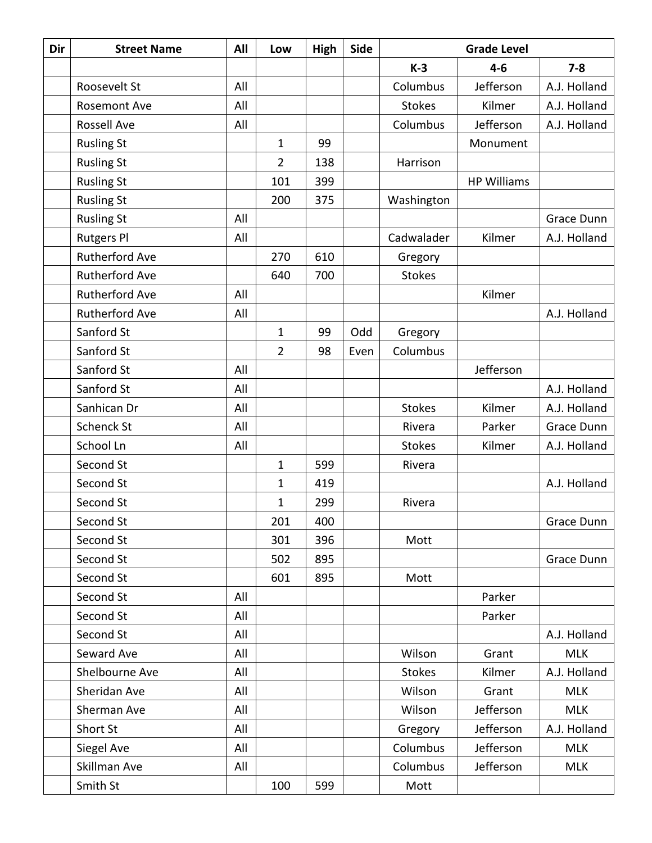| Dir | <b>Street Name</b>    | All | Low            | High | Side | <b>Grade Level</b> |                    |              |
|-----|-----------------------|-----|----------------|------|------|--------------------|--------------------|--------------|
|     |                       |     |                |      |      | $K-3$              | $4-6$              | $7 - 8$      |
|     | Roosevelt St          | All |                |      |      | Columbus           | Jefferson          | A.J. Holland |
|     | <b>Rosemont Ave</b>   | All |                |      |      | <b>Stokes</b>      | Kilmer             | A.J. Holland |
|     | Rossell Ave           | All |                |      |      | Columbus           | Jefferson          | A.J. Holland |
|     | <b>Rusling St</b>     |     | $\mathbf{1}$   | 99   |      |                    | Monument           |              |
|     | <b>Rusling St</b>     |     | 2              | 138  |      | Harrison           |                    |              |
|     | <b>Rusling St</b>     |     | 101            | 399  |      |                    | <b>HP Williams</b> |              |
|     | <b>Rusling St</b>     |     | 200            | 375  |      | Washington         |                    |              |
|     | <b>Rusling St</b>     | All |                |      |      |                    |                    | Grace Dunn   |
|     | <b>Rutgers Pl</b>     | All |                |      |      | Cadwalader         | Kilmer             | A.J. Holland |
|     | <b>Rutherford Ave</b> |     | 270            | 610  |      | Gregory            |                    |              |
|     | <b>Rutherford Ave</b> |     | 640            | 700  |      | <b>Stokes</b>      |                    |              |
|     | <b>Rutherford Ave</b> | All |                |      |      |                    | Kilmer             |              |
|     | <b>Rutherford Ave</b> | All |                |      |      |                    |                    | A.J. Holland |
|     | Sanford St            |     | $\mathbf{1}$   | 99   | Odd  | Gregory            |                    |              |
|     | Sanford St            |     | $\overline{2}$ | 98   | Even | Columbus           |                    |              |
|     | Sanford St            | All |                |      |      |                    | Jefferson          |              |
|     | Sanford St            | All |                |      |      |                    |                    | A.J. Holland |
|     | Sanhican Dr           | All |                |      |      | <b>Stokes</b>      | Kilmer             | A.J. Holland |
|     | <b>Schenck St</b>     | All |                |      |      | Rivera             | Parker             | Grace Dunn   |
|     | School Ln             | All |                |      |      | <b>Stokes</b>      | Kilmer             | A.J. Holland |
|     | Second St             |     | $\mathbf{1}$   | 599  |      | Rivera             |                    |              |
|     | Second St             |     | $\mathbf{1}$   | 419  |      |                    |                    | A.J. Holland |
|     | Second St             |     | 1              | 299  |      | Rivera             |                    |              |
|     | Second St             |     | 201            | 400  |      |                    |                    | Grace Dunn   |
|     | Second St             |     | 301            | 396  |      | Mott               |                    |              |
|     | Second St             |     | 502            | 895  |      |                    |                    | Grace Dunn   |
|     | Second St             |     | 601            | 895  |      | Mott               |                    |              |
|     | Second St             | All |                |      |      |                    | Parker             |              |
|     | Second St             | All |                |      |      |                    | Parker             |              |
|     | Second St             | All |                |      |      |                    |                    | A.J. Holland |
|     | Seward Ave            | All |                |      |      | Wilson             | Grant              | <b>MLK</b>   |
|     | Shelbourne Ave        | All |                |      |      | <b>Stokes</b>      | Kilmer             | A.J. Holland |
|     | Sheridan Ave          | All |                |      |      | Wilson             | Grant              | <b>MLK</b>   |
|     | Sherman Ave           | All |                |      |      | Wilson             | Jefferson          | <b>MLK</b>   |
|     | Short St              | All |                |      |      | Gregory            | Jefferson          | A.J. Holland |
|     | Siegel Ave            | All |                |      |      | Columbus           | Jefferson          | <b>MLK</b>   |
|     | Skillman Ave          | All |                |      |      | Columbus           | Jefferson          | <b>MLK</b>   |
|     | Smith St              |     | 100            | 599  |      | Mott               |                    |              |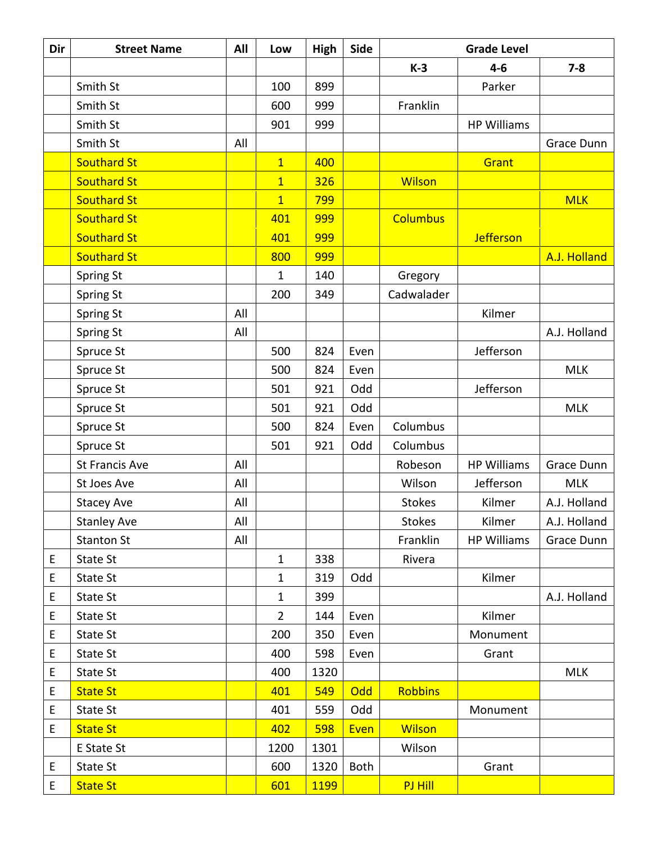| Dir | <b>Street Name</b>    | All | Low            | High        | Side |                 | <b>Grade Level</b> |              |
|-----|-----------------------|-----|----------------|-------------|------|-----------------|--------------------|--------------|
|     |                       |     |                |             |      | $K-3$           | $4 - 6$            | $7 - 8$      |
|     | Smith St              |     | 100            | 899         |      |                 | Parker             |              |
|     | Smith St              |     | 600            | 999         |      | Franklin        |                    |              |
|     | Smith St              |     | 901            | 999         |      |                 | <b>HP Williams</b> |              |
|     | Smith St              | All |                |             |      |                 |                    | Grace Dunn   |
|     | <b>Southard St</b>    |     | $\overline{1}$ | 400         |      |                 | Grant              |              |
|     | <b>Southard St</b>    |     | $\overline{1}$ | 326         |      | <b>Wilson</b>   |                    |              |
|     | <b>Southard St</b>    |     | $\overline{1}$ | 799         |      |                 |                    | <b>MLK</b>   |
|     | <b>Southard St</b>    |     | 401            | 999         |      | <b>Columbus</b> |                    |              |
|     | <b>Southard St</b>    |     | 401            | 999         |      |                 | <b>Jefferson</b>   |              |
|     | <b>Southard St</b>    |     | 800            | 999         |      |                 |                    | A.J. Holland |
|     | Spring St             |     | 1              | 140         |      | Gregory         |                    |              |
|     | Spring St             |     | 200            | 349         |      | Cadwalader      |                    |              |
|     | Spring St             | All |                |             |      |                 | Kilmer             |              |
|     | Spring St             | All |                |             |      |                 |                    | A.J. Holland |
|     | Spruce St             |     | 500            | 824         | Even |                 | Jefferson          |              |
|     | Spruce St             |     | 500            | 824         | Even |                 |                    | <b>MLK</b>   |
|     | Spruce St             |     | 501            | 921         | Odd  |                 | Jefferson          |              |
|     | Spruce St             |     | 501            | 921         | Odd  |                 |                    | <b>MLK</b>   |
|     | Spruce St             |     | 500            | 824         | Even | Columbus        |                    |              |
|     | Spruce St             |     | 501            | 921         | Odd  | Columbus        |                    |              |
|     | <b>St Francis Ave</b> | All |                |             |      | Robeson         | <b>HP Williams</b> | Grace Dunn   |
|     | St Joes Ave           | All |                |             |      | Wilson          | Jefferson          | <b>MLK</b>   |
|     | <b>Stacey Ave</b>     | All |                |             |      | <b>Stokes</b>   | Kilmer             | A.J. Holland |
|     | <b>Stanley Ave</b>    | All |                |             |      | <b>Stokes</b>   | Kilmer             | A.J. Holland |
|     | <b>Stanton St</b>     | All |                |             |      | Franklin        | <b>HP Williams</b> | Grace Dunn   |
| E   | <b>State St</b>       |     | $\mathbf{1}$   | 338         |      | Rivera          |                    |              |
| E   | State St              |     | 1              | 319         | Odd  |                 | Kilmer             |              |
| E   | State St              |     | $\mathbf 1$    | 399         |      |                 |                    | A.J. Holland |
| E   | State St              |     | $\overline{2}$ | 144         | Even |                 | Kilmer             |              |
| E   | State St              |     | 200            | 350         | Even |                 | Monument           |              |
| E   | State St              |     | 400            | 598         | Even |                 | Grant              |              |
| E   | State St              |     | 400            | 1320        |      |                 |                    | <b>MLK</b>   |
| E   | <b>State St</b>       |     | 401            | 549         | Odd  | <b>Robbins</b>  |                    |              |
| E   | State St              |     | 401            | 559         | Odd  |                 | Monument           |              |
| E   | <b>State St</b>       |     | 402            | 598         | Even | <b>Wilson</b>   |                    |              |
|     | E State St            |     | 1200           | 1301        |      | Wilson          |                    |              |
| E   | State St              |     | 600            | 1320        | Both |                 | Grant              |              |
| E   | <b>State St</b>       |     | 601            | <b>1199</b> |      | PJ Hill         |                    |              |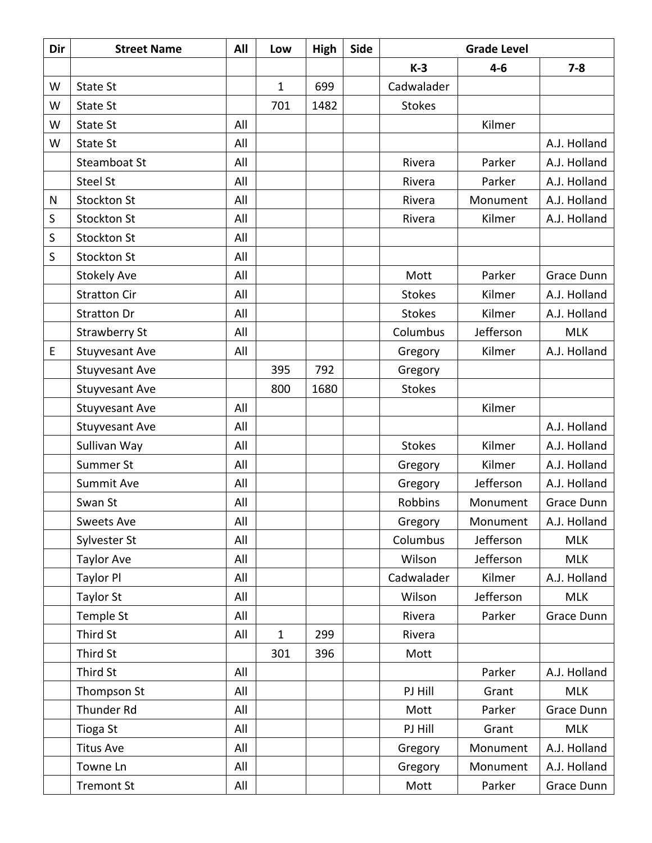| Dir       | <b>Street Name</b>    | All | Low          | High | <b>Side</b> | <b>Grade Level</b> |           |              |
|-----------|-----------------------|-----|--------------|------|-------------|--------------------|-----------|--------------|
|           |                       |     |              |      |             | $K-3$              | $4 - 6$   | $7 - 8$      |
| W         | State St              |     | $\mathbf 1$  | 699  |             | Cadwalader         |           |              |
| W         | State St              |     | 701          | 1482 |             | <b>Stokes</b>      |           |              |
| W         | State St              | All |              |      |             |                    | Kilmer    |              |
| W         | <b>State St</b>       | All |              |      |             |                    |           | A.J. Holland |
|           | Steamboat St          | All |              |      |             | Rivera             | Parker    | A.J. Holland |
|           | <b>Steel St</b>       | All |              |      |             | Rivera             | Parker    | A.J. Holland |
| ${\sf N}$ | Stockton St           | All |              |      |             | Rivera             | Monument  | A.J. Holland |
| $\sf S$   | <b>Stockton St</b>    | All |              |      |             | Rivera             | Kilmer    | A.J. Holland |
| S         | Stockton St           | All |              |      |             |                    |           |              |
| S         | Stockton St           | All |              |      |             |                    |           |              |
|           | <b>Stokely Ave</b>    | All |              |      |             | Mott               | Parker    | Grace Dunn   |
|           | <b>Stratton Cir</b>   | All |              |      |             | <b>Stokes</b>      | Kilmer    | A.J. Holland |
|           | <b>Stratton Dr</b>    | All |              |      |             | <b>Stokes</b>      | Kilmer    | A.J. Holland |
|           | <b>Strawberry St</b>  | All |              |      |             | Columbus           | Jefferson | <b>MLK</b>   |
| E         | Stuyvesant Ave        | All |              |      |             | Gregory            | Kilmer    | A.J. Holland |
|           | Stuyvesant Ave        |     | 395          | 792  |             | Gregory            |           |              |
|           | Stuyvesant Ave        |     | 800          | 1680 |             | <b>Stokes</b>      |           |              |
|           | <b>Stuyvesant Ave</b> | All |              |      |             |                    | Kilmer    |              |
|           | Stuyvesant Ave        | All |              |      |             |                    |           | A.J. Holland |
|           | Sullivan Way          | All |              |      |             | <b>Stokes</b>      | Kilmer    | A.J. Holland |
|           | Summer St             | All |              |      |             | Gregory            | Kilmer    | A.J. Holland |
|           | Summit Ave            | All |              |      |             | Gregory            | Jefferson | A.J. Holland |
|           | Swan St               | All |              |      |             | Robbins            | Monument  | Grace Dunn   |
|           | <b>Sweets Ave</b>     | All |              |      |             | Gregory            | Monument  | A.J. Holland |
|           | Sylvester St          | All |              |      |             | Columbus           | Jefferson | <b>MLK</b>   |
|           | <b>Taylor Ave</b>     | All |              |      |             | Wilson             | Jefferson | <b>MLK</b>   |
|           | Taylor Pl             | All |              |      |             | Cadwalader         | Kilmer    | A.J. Holland |
|           | Taylor St             | All |              |      |             | Wilson             | Jefferson | <b>MLK</b>   |
|           | Temple St             | All |              |      |             | Rivera             | Parker    | Grace Dunn   |
|           | Third St              | All | $\mathbf{1}$ | 299  |             | Rivera             |           |              |
|           | Third St              |     | 301          | 396  |             | Mott               |           |              |
|           | Third St              | All |              |      |             |                    | Parker    | A.J. Holland |
|           | Thompson St           | All |              |      |             | PJ Hill            | Grant     | <b>MLK</b>   |
|           | Thunder Rd            | All |              |      |             | Mott               | Parker    | Grace Dunn   |
|           | Tioga St              | All |              |      |             | PJ Hill            | Grant     | <b>MLK</b>   |
|           | <b>Titus Ave</b>      | All |              |      |             | Gregory            | Monument  | A.J. Holland |
|           | Towne Ln              | All |              |      |             | Gregory            | Monument  | A.J. Holland |
|           | <b>Tremont St</b>     | All |              |      |             | Mott               | Parker    | Grace Dunn   |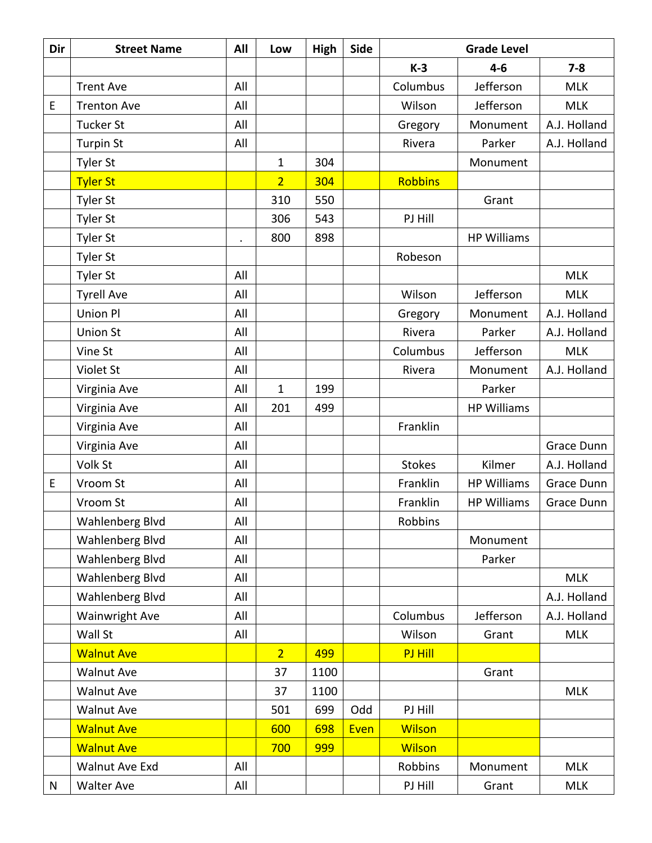| Dir | <b>Street Name</b>    | All | Low            | High | Side | <b>Grade Level</b> |                    |              |
|-----|-----------------------|-----|----------------|------|------|--------------------|--------------------|--------------|
|     |                       |     |                |      |      | $K-3$              | $4 - 6$            | $7 - 8$      |
|     | <b>Trent Ave</b>      | All |                |      |      | Columbus           | Jefferson          | <b>MLK</b>   |
| E   | <b>Trenton Ave</b>    | All |                |      |      | Wilson             | Jefferson          | <b>MLK</b>   |
|     | <b>Tucker St</b>      | All |                |      |      | Gregory            | Monument           | A.J. Holland |
|     | <b>Turpin St</b>      | All |                |      |      | Rivera             | Parker             | A.J. Holland |
|     | <b>Tyler St</b>       |     | 1              | 304  |      |                    | Monument           |              |
|     | <b>Tyler St</b>       |     | $\overline{2}$ | 304  |      | <b>Robbins</b>     |                    |              |
|     | <b>Tyler St</b>       |     | 310            | 550  |      |                    | Grant              |              |
|     | Tyler St              |     | 306            | 543  |      | PJ Hill            |                    |              |
|     | <b>Tyler St</b>       |     | 800            | 898  |      |                    | <b>HP Williams</b> |              |
|     | <b>Tyler St</b>       |     |                |      |      | Robeson            |                    |              |
|     | <b>Tyler St</b>       | All |                |      |      |                    |                    | <b>MLK</b>   |
|     | <b>Tyrell Ave</b>     | All |                |      |      | Wilson             | Jefferson          | <b>MLK</b>   |
|     | Union Pl              | All |                |      |      | Gregory            | Monument           | A.J. Holland |
|     | <b>Union St</b>       | All |                |      |      | Rivera             | Parker             | A.J. Holland |
|     | Vine St               | All |                |      |      | Columbus           | Jefferson          | <b>MLK</b>   |
|     | Violet St             | All |                |      |      | Rivera             | Monument           | A.J. Holland |
|     | Virginia Ave          | All | $\mathbf{1}$   | 199  |      |                    | Parker             |              |
|     | Virginia Ave          | All | 201            | 499  |      |                    | <b>HP Williams</b> |              |
|     | Virginia Ave          | All |                |      |      | Franklin           |                    |              |
|     | Virginia Ave          | All |                |      |      |                    |                    | Grace Dunn   |
|     | Volk St               | All |                |      |      | <b>Stokes</b>      | Kilmer             | A.J. Holland |
| E   | Vroom St              | All |                |      |      | Franklin           | <b>HP Williams</b> | Grace Dunn   |
|     | Vroom St              | All |                |      |      | Franklin           | <b>HP Williams</b> | Grace Dunn   |
|     | Wahlenberg Blvd       | All |                |      |      | Robbins            |                    |              |
|     | Wahlenberg Blvd       | All |                |      |      |                    | Monument           |              |
|     | Wahlenberg Blvd       | All |                |      |      |                    | Parker             |              |
|     | Wahlenberg Blvd       | All |                |      |      |                    |                    | <b>MLK</b>   |
|     | Wahlenberg Blvd       | All |                |      |      |                    |                    | A.J. Holland |
|     | <b>Wainwright Ave</b> | All |                |      |      | Columbus           | Jefferson          | A.J. Holland |
|     | Wall St               | All |                |      |      | Wilson             | Grant              | <b>MLK</b>   |
|     | <b>Walnut Ave</b>     |     | 2 <sup>1</sup> | 499  |      | PJ Hill            |                    |              |
|     | <b>Walnut Ave</b>     |     | 37             | 1100 |      |                    | Grant              |              |
|     | <b>Walnut Ave</b>     |     | 37             | 1100 |      |                    |                    | <b>MLK</b>   |
|     | <b>Walnut Ave</b>     |     | 501            | 699  | Odd  | PJ Hill            |                    |              |
|     | <b>Walnut Ave</b>     |     | 600            | 698  | Even | <b>Wilson</b>      |                    |              |
|     | <b>Walnut Ave</b>     |     | 700            | 999  |      | <b>Wilson</b>      |                    |              |
|     | Walnut Ave Exd        | All |                |      |      | Robbins            | Monument           | <b>MLK</b>   |
| N   | <b>Walter Ave</b>     | All |                |      |      | PJ Hill            | Grant              | <b>MLK</b>   |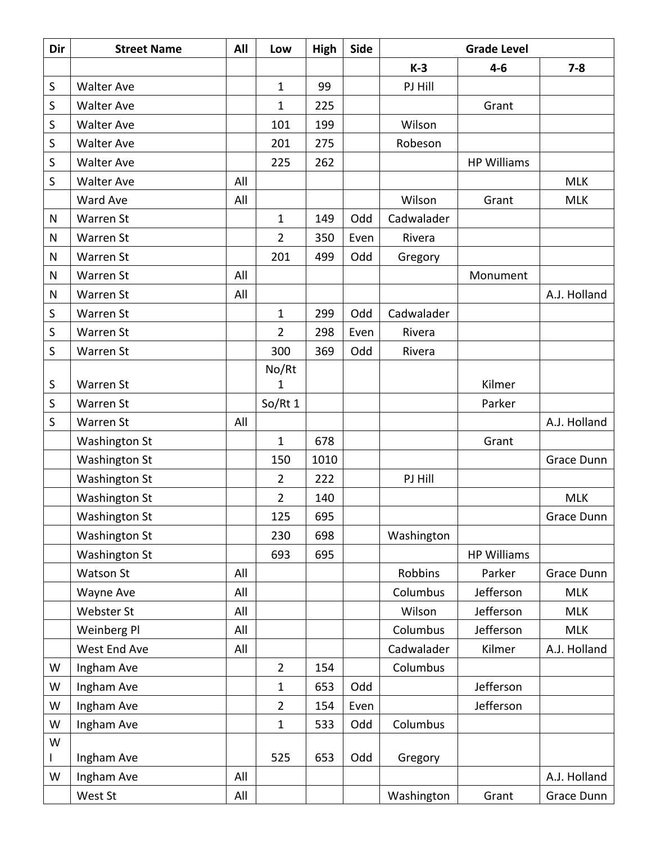| Dir | <b>Street Name</b>   | All | Low            | High | <b>Side</b> | <b>Grade Level</b> |                    |              |
|-----|----------------------|-----|----------------|------|-------------|--------------------|--------------------|--------------|
|     |                      |     |                |      |             | $K-3$              | $4-6$              | $7 - 8$      |
| S   | <b>Walter Ave</b>    |     | $\mathbf{1}$   | 99   |             | PJ Hill            |                    |              |
| S   | <b>Walter Ave</b>    |     | $\mathbf{1}$   | 225  |             |                    | Grant              |              |
| S   | <b>Walter Ave</b>    |     | 101            | 199  |             | Wilson             |                    |              |
| S   | <b>Walter Ave</b>    |     | 201            | 275  |             | Robeson            |                    |              |
| S   | <b>Walter Ave</b>    |     | 225            | 262  |             |                    | <b>HP Williams</b> |              |
| S   | <b>Walter Ave</b>    | All |                |      |             |                    |                    | <b>MLK</b>   |
|     | Ward Ave             | All |                |      |             | Wilson             | Grant              | <b>MLK</b>   |
| N   | Warren St            |     | $\mathbf{1}$   | 149  | Odd         | Cadwalader         |                    |              |
| N   | Warren St            |     | $\overline{2}$ | 350  | Even        | Rivera             |                    |              |
| N   | Warren St            |     | 201            | 499  | Odd         | Gregory            |                    |              |
| N   | Warren St            | All |                |      |             |                    | Monument           |              |
| N   | Warren St            | All |                |      |             |                    |                    | A.J. Holland |
| S   | Warren St            |     | $\mathbf{1}$   | 299  | Odd         | Cadwalader         |                    |              |
| S   | Warren St            |     | 2              | 298  | Even        | Rivera             |                    |              |
| S   | Warren St            |     | 300            | 369  | Odd         | Rivera             |                    |              |
|     |                      |     | No/Rt          |      |             |                    |                    |              |
| S   | Warren St            |     | $\mathbf{1}$   |      |             |                    | Kilmer             |              |
| S   | Warren St            |     | So/Rt 1        |      |             |                    | Parker             |              |
| S   | Warren St            | All |                |      |             |                    |                    | A.J. Holland |
|     | <b>Washington St</b> |     | $\mathbf 1$    | 678  |             |                    | Grant              |              |
|     | <b>Washington St</b> |     | 150            | 1010 |             |                    |                    | Grace Dunn   |
|     | <b>Washington St</b> |     | $\overline{2}$ | 222  |             | PJ Hill            |                    |              |
|     | Washington St        |     | $\overline{2}$ | 140  |             |                    |                    | <b>MLK</b>   |
|     | <b>Washington St</b> |     | 125            | 695  |             |                    |                    | Grace Dunn   |
|     | <b>Washington St</b> |     | 230            | 698  |             | Washington         |                    |              |
|     | Washington St        |     | 693            | 695  |             |                    | <b>HP Williams</b> |              |
|     | <b>Watson St</b>     | All |                |      |             | Robbins            | Parker             | Grace Dunn   |
|     | Wayne Ave            | All |                |      |             | Columbus           | Jefferson          | <b>MLK</b>   |
|     | Webster St           | All |                |      |             | Wilson             | Jefferson          | <b>MLK</b>   |
|     | Weinberg Pl          | All |                |      |             | Columbus           | Jefferson          | <b>MLK</b>   |
|     | West End Ave         | All |                |      |             | Cadwalader         | Kilmer             | A.J. Holland |
| W   | Ingham Ave           |     | $\overline{2}$ | 154  |             | Columbus           |                    |              |
| W   | Ingham Ave           |     | $\mathbf{1}$   | 653  | Odd         |                    | Jefferson          |              |
| W   | Ingham Ave           |     | $\overline{2}$ | 154  | Even        |                    | Jefferson          |              |
| W   | Ingham Ave           |     | $\mathbf{1}$   | 533  | Odd         | Columbus           |                    |              |
| W   |                      |     |                |      |             |                    |                    |              |
| L   | Ingham Ave           |     | 525            | 653  | Odd         | Gregory            |                    |              |
| W   | Ingham Ave           | All |                |      |             |                    |                    | A.J. Holland |
|     | West St              | All |                |      |             | Washington         | Grant              | Grace Dunn   |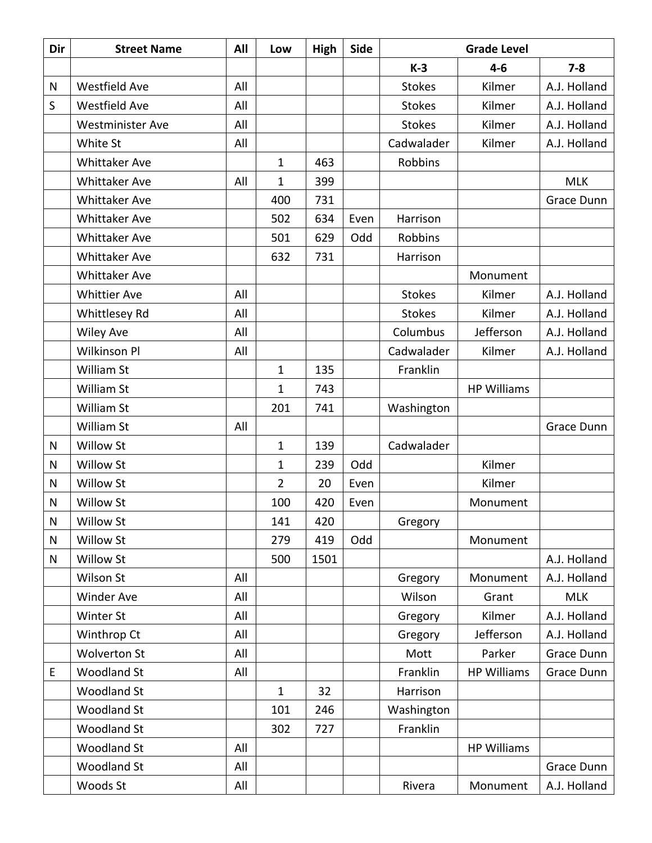| Dir          | <b>Street Name</b>      | All | Low            | High | Side | <b>Grade Level</b> |                    |              |
|--------------|-------------------------|-----|----------------|------|------|--------------------|--------------------|--------------|
|              |                         |     |                |      |      | $K-3$              | $4 - 6$            | $7 - 8$      |
| N            | <b>Westfield Ave</b>    | All |                |      |      | <b>Stokes</b>      | Kilmer             | A.J. Holland |
| S            | <b>Westfield Ave</b>    | All |                |      |      | <b>Stokes</b>      | Kilmer             | A.J. Holland |
|              | <b>Westminister Ave</b> | All |                |      |      | <b>Stokes</b>      | Kilmer             | A.J. Holland |
|              | White St                | All |                |      |      | Cadwalader         | Kilmer             | A.J. Holland |
|              | <b>Whittaker Ave</b>    |     | 1              | 463  |      | Robbins            |                    |              |
|              | <b>Whittaker Ave</b>    | All | 1              | 399  |      |                    |                    | <b>MLK</b>   |
|              | <b>Whittaker Ave</b>    |     | 400            | 731  |      |                    |                    | Grace Dunn   |
|              | <b>Whittaker Ave</b>    |     | 502            | 634  | Even | Harrison           |                    |              |
|              | <b>Whittaker Ave</b>    |     | 501            | 629  | Odd  | Robbins            |                    |              |
|              | <b>Whittaker Ave</b>    |     | 632            | 731  |      | Harrison           |                    |              |
|              | <b>Whittaker Ave</b>    |     |                |      |      |                    | Monument           |              |
|              | <b>Whittier Ave</b>     | All |                |      |      | <b>Stokes</b>      | Kilmer             | A.J. Holland |
|              | <b>Whittlesey Rd</b>    | All |                |      |      | <b>Stokes</b>      | Kilmer             | A.J. Holland |
|              | <b>Wiley Ave</b>        | All |                |      |      | Columbus           | Jefferson          | A.J. Holland |
|              | Wilkinson Pl            | All |                |      |      | Cadwalader         | Kilmer             | A.J. Holland |
|              | William St              |     | $\mathbf{1}$   | 135  |      | Franklin           |                    |              |
|              | William St              |     | $\mathbf 1$    | 743  |      |                    | <b>HP Williams</b> |              |
|              | William St              |     | 201            | 741  |      | Washington         |                    |              |
|              | William St              | All |                |      |      |                    |                    | Grace Dunn   |
| $\mathsf{N}$ | <b>Willow St</b>        |     | $\mathbf{1}$   | 139  |      | Cadwalader         |                    |              |
| N            | <b>Willow St</b>        |     | 1              | 239  | Odd  |                    | Kilmer             |              |
| N            | Willow St               |     | $\overline{2}$ | 20   | Even |                    | Kilmer             |              |
| $\mathsf{N}$ | <b>Willow St</b>        |     | 100            | 420  | Even |                    | Monument           |              |
| N            | <b>Willow St</b>        |     | 141            | 420  |      | Gregory            |                    |              |
| N            | <b>Willow St</b>        |     | 279            | 419  | Odd  |                    | Monument           |              |
| $\mathsf{N}$ | Willow St               |     | 500            | 1501 |      |                    |                    | A.J. Holland |
|              | Wilson St               | All |                |      |      | Gregory            | Monument           | A.J. Holland |
|              | Winder Ave              | All |                |      |      | Wilson             | Grant              | <b>MLK</b>   |
|              | Winter St               | All |                |      |      | Gregory            | Kilmer             | A.J. Holland |
|              | Winthrop Ct             | All |                |      |      | Gregory            | Jefferson          | A.J. Holland |
|              | <b>Wolverton St</b>     | All |                |      |      | Mott               | Parker             | Grace Dunn   |
| E            | <b>Woodland St</b>      | All |                |      |      | Franklin           | <b>HP Williams</b> | Grace Dunn   |
|              | <b>Woodland St</b>      |     | $\mathbf 1$    | 32   |      | Harrison           |                    |              |
|              | <b>Woodland St</b>      |     | 101            | 246  |      | Washington         |                    |              |
|              | <b>Woodland St</b>      |     | 302            | 727  |      | Franklin           |                    |              |
|              | <b>Woodland St</b>      | All |                |      |      |                    | <b>HP Williams</b> |              |
|              | <b>Woodland St</b>      | All |                |      |      |                    |                    | Grace Dunn   |
|              | Woods St                | All |                |      |      | Rivera             | Monument           | A.J. Holland |